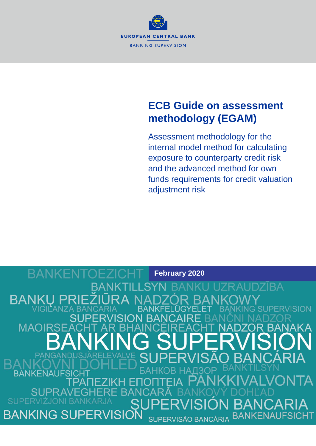

# **ECB Guide on assessment methodology (EGAM)**

Assessment methodology for the internal model method for calculating exposure to counterparty credit risk and the advanced method for own funds requirements for credit valuation adjustment risk

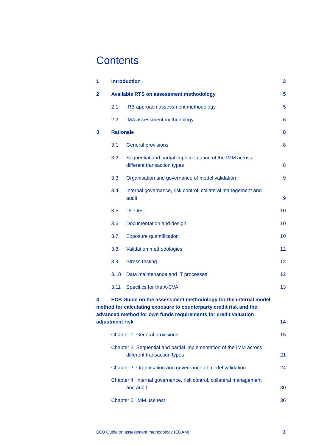# **Contents**

| 1 | <b>Introduction</b>                                                                              |                                                                                                                                                                                                          |                  |  |
|---|--------------------------------------------------------------------------------------------------|----------------------------------------------------------------------------------------------------------------------------------------------------------------------------------------------------------|------------------|--|
| 2 | <b>Available RTS on assessment methodology</b>                                                   |                                                                                                                                                                                                          |                  |  |
|   | 2.1                                                                                              | IRB approach assessment methodology                                                                                                                                                                      | 5                |  |
|   | 2.2                                                                                              | IMA assessment methodology                                                                                                                                                                               | 6                |  |
| 3 | <b>Rationale</b>                                                                                 |                                                                                                                                                                                                          |                  |  |
|   | 3.1                                                                                              | <b>General provisions</b>                                                                                                                                                                                | 8                |  |
|   | 3.2                                                                                              | Sequential and partial implementation of the IMM across<br>different transaction types                                                                                                                   | 8                |  |
|   | 3.3                                                                                              | Organisation and governance of model validation                                                                                                                                                          | 9                |  |
|   | 3.4                                                                                              | Internal governance, risk control, collateral management and<br>audit                                                                                                                                    | $\boldsymbol{9}$ |  |
|   | 3.5                                                                                              | Use test                                                                                                                                                                                                 | 10               |  |
|   | 3.6                                                                                              | Documentation and design                                                                                                                                                                                 | 10               |  |
|   | 3.7                                                                                              | <b>Exposure quantification</b>                                                                                                                                                                           | 10               |  |
|   | 3.8                                                                                              | Validation methodologies                                                                                                                                                                                 | 12               |  |
|   | 3.9                                                                                              | <b>Stress testing</b>                                                                                                                                                                                    | 12               |  |
|   | 3.10                                                                                             | Data maintenance and IT processes                                                                                                                                                                        | 12               |  |
|   | 3.11                                                                                             | Specifics for the A-CVA                                                                                                                                                                                  | 13               |  |
| 4 |                                                                                                  | ECB Guide on the assessment methodology for the internal model<br>method for calculating exposure to counterparty credit risk and the<br>advanced method for own funds requirements for credit valuation |                  |  |
|   | adjustment risk                                                                                  |                                                                                                                                                                                                          | 14               |  |
|   |                                                                                                  | <b>Chapter 1 General provisions</b>                                                                                                                                                                      | 15               |  |
|   | Chapter 2 Sequential and partial implementation of the IMM across<br>different transaction types |                                                                                                                                                                                                          |                  |  |
|   |                                                                                                  | Chapter 3 Organisation and governance of model validation                                                                                                                                                | 24               |  |
|   |                                                                                                  | Chapter 4 Internal governance, risk control, collateral management<br>and audit                                                                                                                          | 30               |  |
|   |                                                                                                  | Chapter 5 IMM use test                                                                                                                                                                                   | 36               |  |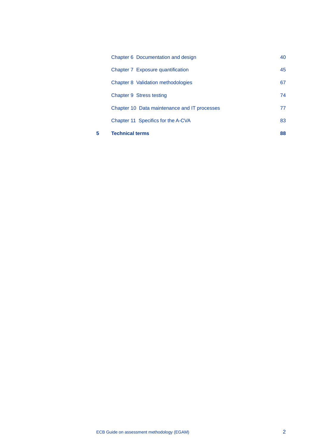| 5 | <b>Technical terms</b>                       | 88 |
|---|----------------------------------------------|----|
|   | Chapter 11 Specifics for the A-CVA           | 83 |
|   | Chapter 10 Data maintenance and IT processes | 77 |
|   | Chapter 9 Stress testing                     | 74 |
|   | Chapter 8 Validation methodologies           | 67 |
|   | Chapter 7 Exposure quantification            | 45 |
|   | Chapter 6 Documentation and design           | 40 |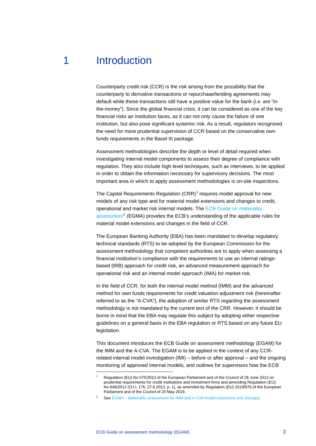## 1 Introduction

<span id="page-3-0"></span>Counterparty credit risk (CCR) is the risk arising from the possibility that the counterparty to derivative transactions or repurchase/lending agreements may default while these transactions still have a positive value for the bank (i.e. are "inthe-money"). Since the global financial crisis, it can be considered as one of the key financial risks an institution faces, as it can not only cause the failure of one institution, but also pose significant systemic risk. As a result, regulators recognised the need for more prudential supervision of CCR based on the conservative own funds requirements in the Basel III package.

Assessment methodologies describe the depth or level of detail required when investigating internal model components to assess their degree of compliance with regulation. They also include high level techniques, such as interviews, to be applied in order to obtain the information necessary for supervisory decisions. The most important area in which to apply assessment methodologies is on-site inspections.

The Capital Requirements Regulation  $(CRR)^1$  $(CRR)^1$  requires model approval for new models of any risk type and for material model extensions and changes to credit, operational and market risk internal models. The [ECB Guide on materiality](https://www.bankingsupervision.europa.eu/ecb/pub/pdf/ssm.egma_guide_201709.en.pdf)  [assessment](https://www.bankingsupervision.europa.eu/ecb/pub/pdf/ssm.egma_guide_201709.en.pdf)<sup>[2](#page-3-2)</sup> (EGMA) provides the ECB's understanding of the applicable rules for material model extensions and changes in the field of CCR.

The European Banking Authority (EBA) has been mandated to develop regulatory technical standards (RTS) to be adopted by the European Commission for the assessment methodology that competent authorities are to apply when assessing a financial institution's compliance with the requirements to use an internal ratingsbased (IRB) approach for credit risk, an advanced measurement approach for operational risk and an internal model approach (IMA) for market risk.

In the field of CCR, for both the internal model method (IMM) and the advanced method for own funds requirements for credit valuation adjustment risk (hereinafter referred to as the "A-CVA"), the adoption of similar RTS regarding the assessment methodology is not mandated by the current text of the CRR. However, it should be borne in mind that the EBA may regulate this subject by adopting either respective guidelines on a general basis in the EBA regulation or RTS based on any future EU legislation.

This document introduces the ECB Guide on assessment methodology (EGAM) for the IMM and the A-CVA. The EGAM is to be applied in the context of any CCRrelated internal model investigation (IMI) – before or after approval – and the ongoing monitoring of approved internal models, and outlines for supervisors how the ECB

<span id="page-3-1"></span><sup>1</sup> Regulation (EU) No 575/2013 of the European Parliament and of the Council of 26 June 2013 on prudential requirements for credit institutions and investment firms and amending Regulation (EU) No 648/2012 (OJ L 176, 27.6.2013, p. 1), as amended by Regulation (EU) 2019/876 of the European Parliament and of the Council of 20 May 2019.

<span id="page-3-2"></span>See EGMA – [Materiality assessment for IMM and A-CVA model extensions and changes.](https://www.bankingsupervision.europa.eu/ecb/pub/pdf/ssm.egma_guide_201709.en.pdf)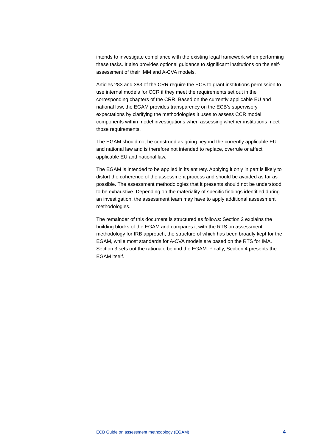intends to investigate compliance with the existing legal framework when performing these tasks. It also provides optional guidance to significant institutions on the selfassessment of their IMM and A-CVA models.

Articles 283 and 383 of the CRR require the ECB to grant institutions permission to use internal models for CCR if they meet the requirements set out in the corresponding chapters of the CRR. Based on the currently applicable EU and national law, the EGAM provides transparency on the ECB's supervisory expectations by clarifying the methodologies it uses to assess CCR model components within model investigations when assessing whether institutions meet those requirements.

The EGAM should not be construed as going beyond the currently applicable EU and national law and is therefore not intended to replace, overrule or affect applicable EU and national law.

The EGAM is intended to be applied in its entirety. Applying it only in part is likely to distort the coherence of the assessment process and should be avoided as far as possible. The assessment methodologies that it presents should not be understood to be exhaustive. Depending on the materiality of specific findings identified during an investigation, the assessment team may have to apply additional assessment methodologies.

The remainder of this document is structured as follows: Section 2 explains the building blocks of the EGAM and compares it with the RTS on assessment methodology for IRB approach, the structure of which has been broadly kept for the EGAM, while most standards for A-CVA models are based on the RTS for IMA. Section 3 sets out the rationale behind the EGAM. Finally, Section 4 presents the EGAM itself.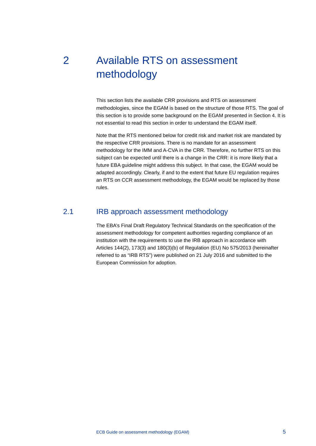# <span id="page-5-0"></span>2 Available RTS on assessment methodology

This section lists the available CRR provisions and RTS on assessment methodologies, since the EGAM is based on the structure of those RTS. The goal of this section is to provide some background on the EGAM presented in Section 4. It is not essential to read this section in order to understand the EGAM itself.

Note that the RTS mentioned below for credit risk and market risk are mandated by the respective CRR provisions. There is no mandate for an assessment methodology for the IMM and A-CVA in the CRR. Therefore, no further RTS on this subject can be expected until there is a change in the CRR: it is more likely that a future EBA guideline might address this subject. In that case, the EGAM would be adapted accordingly. Clearly, if and to the extent that future EU regulation requires an RTS on CCR assessment methodology, the EGAM would be replaced by those rules.

## 2.1 IRB approach assessment methodology

<span id="page-5-1"></span>The EBA's Final Draft Regulatory Technical Standards on the specification of the assessment methodology for competent authorities regarding compliance of an institution with the requirements to use the IRB approach in accordance with Articles 144(2), 173(3) and 180(3)(b) of Regulation (EU) No 575/2013 (hereinafter referred to as "IRB RTS") were published on 21 July 2016 and submitted to the European Commission for adoption.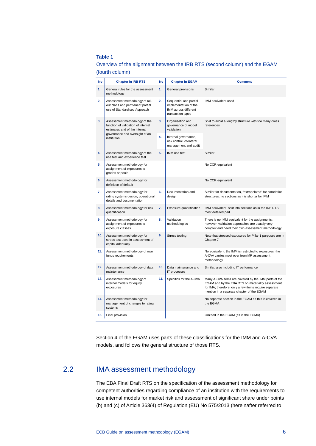#### **Table 1**

| No  | <b>Chapter in IRB RTS</b>                                                                            | <b>No</b>        | <b>Chapter in EGAM</b>                                                                       | <b>Comment</b>                                                                                                                                                                                                  |
|-----|------------------------------------------------------------------------------------------------------|------------------|----------------------------------------------------------------------------------------------|-----------------------------------------------------------------------------------------------------------------------------------------------------------------------------------------------------------------|
| 1.  | General rules for the assessment<br>methodology                                                      | 1.               | General provisions                                                                           | Similar                                                                                                                                                                                                         |
| 2.  | Assessment methodology of roll-<br>out plans and permanent partial<br>use of Standardised Approach   | $\overline{2}$ . | Sequential and partial<br>implementation of the<br>IMM across different<br>transaction types | IMM equivalent used                                                                                                                                                                                             |
| 3.  | Assessment methodology of the<br>function of validation of internal<br>estimates and of the internal |                  | Organisation and<br>governance of model<br>validation                                        | Split to avoid a lengthy structure with too many cross<br>references                                                                                                                                            |
|     | governance and oversight of an<br>institution                                                        | 4.               | Internal governance,<br>risk control, collateral<br>management and audit                     |                                                                                                                                                                                                                 |
| 4.  | Assessment methodology of the<br>use test and experience test                                        | 5.               | IMM use test                                                                                 | Similar                                                                                                                                                                                                         |
| 5.  | Assessment methodology for<br>assignment of exposures to<br>grades or pools                          |                  |                                                                                              | No CCR equivalent                                                                                                                                                                                               |
| 6.  | Assessment methodology for<br>definition of default                                                  |                  |                                                                                              | No CCR equivalent                                                                                                                                                                                               |
| 7.  | Assessment methodology for<br>rating systems design, operational<br>details and documentation        | 6.               | Documentation and<br>design                                                                  | Similar for documentation, "extrapolated" for correlation<br>structures; no sections as it is shorter for IMM                                                                                                   |
| 8.  | Assessment methodology for risk<br>quantification                                                    | 7.               | Exposure quantification                                                                      | IMM equivalent; split into sections as in the IRB RTS;<br>most detailed part                                                                                                                                    |
| 9.  | Assessment methodology for<br>assignment of exposures to<br>exposure classes                         | 8.               | Validation<br>methodologies                                                                  | There is no IMM equivalent for the assignments;<br>however, validation approaches are usually very<br>complex and need their own assessment methodology                                                         |
| 10. | Assessment methodology for<br>stress test used in assessment of<br>capital adequacy                  | 9.               | Stress testing                                                                               | Note that stressed exposures for Pillar 1 purposes are in<br>Chapter 7                                                                                                                                          |
| 11. | Assessment methodology of own<br>funds requirements                                                  |                  |                                                                                              | No equivalent: the IMM is restricted to exposures; the<br>A-CVA carries most over from MR assessment<br>methodology                                                                                             |
| 12. | Assessment methodology of data<br>maintenance                                                        | 10.              | Data maintenance and<br>IT processes                                                         | Similar, also including IT performance                                                                                                                                                                          |
| 13. | Assessment methodology of<br>internal models for equity<br>exposures                                 | 11.              | Specifics for the A-CVA                                                                      | Many A-CVA items are covered by the IMM parts of the<br>EGAM and by the EBA RTS on materiality assessment<br>for IMA; therefore, only a few items require separate<br>mention in a separate chapter of the EGAM |
| 14. | Assessment methodology for<br>management of changes to rating<br>systems                             |                  |                                                                                              | No separate section in the EGAM as this is covered in<br>the EGMA                                                                                                                                               |
| 15. | Final provision                                                                                      |                  |                                                                                              | Omitted in the EGAM (as in the EGMA)                                                                                                                                                                            |

#### Overview of the alignment between the IRB RTS (second column) and the EGAM (fourth column)

<span id="page-6-0"></span>Section 4 of the EGAM uses parts of these classifications for the IMM and A-CVA models, and follows the general structure of those RTS.

## 2.2 IMA assessment methodology

The EBA Final Draft RTS on the specification of the assessment methodology for competent authorities regarding compliance of an institution with the requirements to use internal models for market risk and assessment of significant share under points (b) and (c) of Article 363(4) of Regulation (EU) No 575/2013 (hereinafter referred to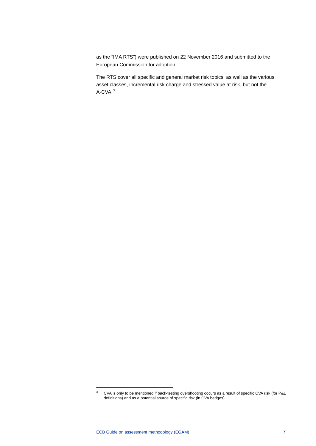as the "IMA RTS") were published on 22 November 2016 and submitted to the European Commission for adoption.

The RTS cover all specific and general market risk topics, as well as the various asset classes, incremental risk charge and stressed value at risk, but not the A-CVA.[3](#page-7-0)

<span id="page-7-0"></span><sup>&</sup>lt;sup>3</sup> CVA is only to be mentioned if back-testing overshooting occurs as a result of specific CVA risk (for P&L definitions) and as a potential source of specific risk (in CVA hedges).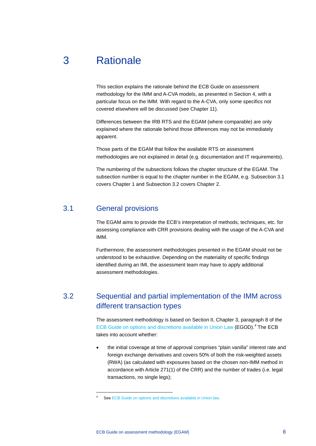## 3 Rationale

<span id="page-8-0"></span>This section explains the rationale behind the ECB Guide on assessment methodology for the IMM and A-CVA models, as presented in Section 4, with a particular focus on the IMM. With regard to the A-CVA, only some specifics not covered elsewhere will be discussed (see Chapter 11).

Differences between the IRB RTS and the EGAM (where comparable) are only explained where the rationale behind those differences may not be immediately apparent.

Those parts of the EGAM that follow the available RTS on assessment methodologies are not explained in detail (e.g. documentation and IT requirements).

<span id="page-8-1"></span>The numbering of the subsections follows the chapter structure of the EGAM. The subsection number is equal to the chapter number in the EGAM, e.g. Subsection 3.1 covers Chapter 1 and Subsection 3.2 covers Chapter 2.

#### 3.1 General provisions

-

The EGAM aims to provide the ECB's interpretation of methods, techniques, etc. for assessing compliance with CRR provisions dealing with the usage of the A-CVA and IMM.

<span id="page-8-2"></span>Furthermore, the assessment methodologies presented in the EGAM should not be understood to be exhaustive. Depending on the materiality of specific findings identified during an IMI, the assessment team may have to apply additional assessment methodologies.

## 3.2 Sequential and partial implementation of the IMM across different transaction types

The assessment methodology is based on Section II, Chapter 3, paragraph 8 of the [ECB Guide on options and discretions available in Union Law](https://www.bankingsupervision.europa.eu/ecb/pub/pdf/ecb_guide_options_discretions.en.pdf) (EGOD).<sup>[4](#page-8-3)</sup> The ECB takes into account whether:

• the initial coverage at time of approval comprises "plain vanilla" interest rate and foreign exchange derivatives and covers 50% of both the risk-weighted assets (RWA) (as calculated with exposures based on the chosen non-IMM method in accordance with Article 271(1) of the CRR) and the number of trades (i.e. legal transactions, no single legs);

<span id="page-8-3"></span>Se[e ECB Guide on options and discretions available in Union law.](https://www.bankingsupervision.europa.eu/ecb/pub/pdf/ecb_guide_options_discretions.en.pdf)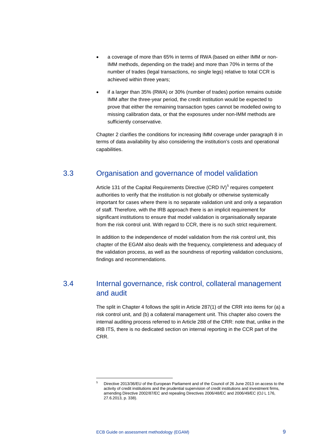- a coverage of more than 65% in terms of RWA (based on either IMM or non-IMM methods, depending on the trade) and more than 70% in terms of the number of trades (legal transactions, no single legs) relative to total CCR is achieved within three years;
- if a larger than 35% (RWA) or 30% (number of trades) portion remains outside IMM after the three-year period, the credit institution would be expected to prove that either the remaining transaction types cannot be modelled owing to missing calibration data, or that the exposures under non-IMM methods are sufficiently conservative.

<span id="page-9-0"></span>Chapter 2 clarifies the conditions for increasing IMM coverage under paragraph 8 in terms of data availability by also considering the institution's costs and operational capabilities.

## 3.3 Organisation and governance of model validation

Article 131 of the Capital Requirements Directive (CRD IV)<sup>[5](#page-9-2)</sup> requires competent authorities to verify that the institution is not globally or otherwise systemically important for cases where there is no separate validation unit and only a separation of staff. Therefore, with the IRB approach there is an implicit requirement for significant institutions to ensure that model validation is organisationally separate from the risk control unit. With regard to CCR, there is no such strict requirement.

<span id="page-9-1"></span>In addition to the independence of model validation from the risk control unit, this chapter of the EGAM also deals with the frequency, completeness and adequacy of the validation process, as well as the soundness of reporting validation conclusions, findings and recommendations.

## 3.4 Internal governance, risk control, collateral management and audit

The split in Chapter 4 follows the split in Article 287(1) of the CRR into items for (a) a risk control unit, and (b) a collateral management unit. This chapter also covers the internal auditing process referred to in Article 288 of the CRR: note that, unlike in the IRB ITS, there is no dedicated section on internal reporting in the CCR part of the CRR.

<span id="page-9-2"></span><sup>5</sup> Directive 2013/36/EU of the European Parliament and of the Council of 26 June 2013 on access to the activity of credit institutions and the prudential supervision of credit institutions and investment firms, amending Directive 2002/87/EC and repealing Directives 2006/48/EC and 2006/49/EC (OJ L 176, 27.6.2013, p. 338).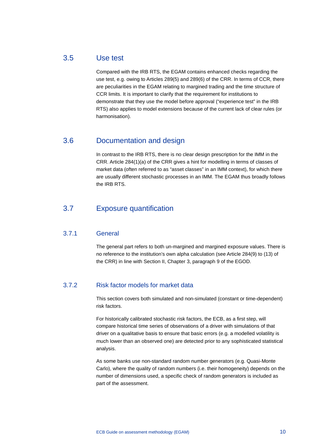## 3.5 Use test

<span id="page-10-0"></span>Compared with the IRB RTS, the EGAM contains enhanced checks regarding the use test, e.g. owing to Articles 289(5) and 289(6) of the CRR. In terms of CCR, there are peculiarities in the EGAM relating to margined trading and the time structure of CCR limits. It is important to clarify that the requirement for institutions to demonstrate that they use the model before approval ("experience test" in the IRB RTS) also applies to model extensions because of the current lack of clear rules (or harmonisation).

## 3.6 Documentation and design

<span id="page-10-1"></span>In contrast to the IRB RTS, there is no clear design prescription for the IMM in the CRR. Article 284(1)(a) of the CRR gives a hint for modelling in terms of classes of market data (often referred to as "asset classes" in an IMM context), for which there are usually different stochastic processes in an IMM. The EGAM thus broadly follows the IRB RTS.

## <span id="page-10-2"></span>3.7 Exposure quantification

#### 3.7.1 General

The general part refers to both un-margined and margined exposure values. There is no reference to the institution's own alpha calculation (see Article 284(9) to (13) of the CRR) in line with Section II, Chapter 3, paragraph 9 of the EGOD.

#### 3.7.2 Risk factor models for market data

This section covers both simulated and non-simulated (constant or time-dependent) risk factors.

For historically calibrated stochastic risk factors, the ECB, as a first step, will compare historical time series of observations of a driver with simulations of that driver on a qualitative basis to ensure that basic errors (e.g. a modelled volatility is much lower than an observed one) are detected prior to any sophisticated statistical analysis.

As some banks use non-standard random number generators (e.g. Quasi-Monte Carlo), where the quality of random numbers (i.e. their homogeneity) depends on the number of dimensions used, a specific check of random generators is included as part of the assessment.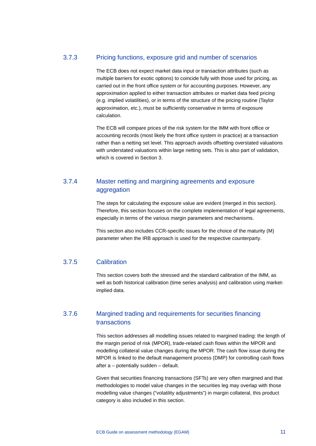#### 3.7.3 Pricing functions, exposure grid and number of scenarios

The ECB does not expect market data input or transaction attributes (such as multiple barriers for exotic options) to coincide fully with those used for pricing, as carried out in the front office system or for accounting purposes. However, any approximation applied to either transaction attributes or market data feed pricing (e.g. implied volatilities), or in terms of the structure of the pricing routine (Taylor approximation, etc.), must be sufficiently conservative in terms of exposure calculation.

The ECB will compare prices of the risk system for the IMM with front office or accounting records (most likely the front office system in practice) at a transaction rather than a netting set level. This approach avoids offsetting overstated valuations with understated valuations within large netting sets. This is also part of validation, which is covered in Section 3.

## 3.7.4 Master netting and margining agreements and exposure aggregation

The steps for calculating the exposure value are evident (merged in this section). Therefore, this section focuses on the complete implementation of legal agreements, especially in terms of the various margin parameters and mechanisms.

This section also includes CCR-specific issues for the choice of the maturity (M) parameter when the IRB approach is used for the respective counterparty.

#### 3.7.5 Calibration

This section covers both the stressed and the standard calibration of the IMM, as well as both historical calibration (time series analysis) and calibration using marketimplied data.

#### 3.7.6 Margined trading and requirements for securities financing transactions

This section addresses all modelling issues related to margined trading: the length of the margin period of risk (MPOR), trade-related cash flows within the MPOR and modelling collateral value changes during the MPOR. The cash flow issue during the MPOR is linked to the default management process (DMP) for controlling cash flows after a – potentially sudden – default.

Given that securities financing transactions (SFTs) are very often margined and that methodologies to model value changes in the securities leg may overlap with those modelling value changes ("volatility adjustments") in margin collateral, this product category is also included in this section.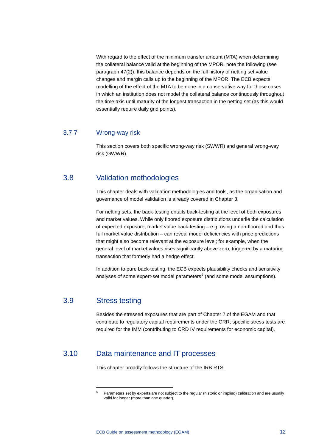With regard to the effect of the minimum transfer amount (MTA) when determining the collateral balance valid at the beginning of the MPOR, note the following (see paragraph 47(2)): this balance depends on the full history of netting set value changes and margin calls up to the beginning of the MPOR. The ECB expects modelling of the effect of the MTA to be done in a conservative way for those cases in which an institution does not model the collateral balance continuously throughout the time axis until maturity of the longest transaction in the netting set (as this would essentially require daily grid points).

#### 3.7.7 Wrong-way risk

<span id="page-12-0"></span>This section covers both specific wrong-way risk (SWWR) and general wrong-way risk (GWWR).

## 3.8 Validation methodologies

This chapter deals with validation methodologies and tools, as the organisation and governance of model validation is already covered in Chapter 3.

For netting sets, the back-testing entails back-testing at the level of both exposures and market values. While only floored exposure distributions underlie the calculation of expected exposure, market value back-testing – e.g. using a non-floored and thus full market value distribution – can reveal model deficiencies with price predictions that might also become relevant at the exposure level; for example, when the general level of market values rises significantly above zero, triggered by a maturing transaction that formerly had a hedge effect.

<span id="page-12-1"></span>In addition to pure back-testing, the ECB expects plausibility checks and sensitivity analyses of some expert-set model parameters<sup>[6](#page-12-3)</sup> (and some model assumptions).

### 3.9 Stress testing

-

<span id="page-12-2"></span>Besides the stressed exposures that are part of Chapter 7 of the EGAM and that contribute to regulatory capital requirements under the CRR, specific stress tests are required for the IMM (contributing to CRD IV requirements for economic capital).

## <span id="page-12-3"></span>3.10 Data maintenance and IT processes

This chapter broadly follows the structure of the IRB RTS.

<sup>6</sup> Parameters set by experts are not subject to the regular (historic or implied) calibration and are usually valid for longer (more than one quarter).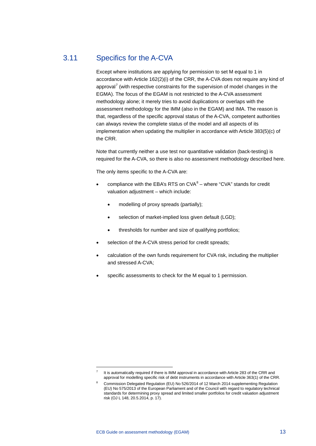## 3.11 Specifics for the A-CVA

<span id="page-13-0"></span>Except where institutions are applying for permission to set M equal to 1 in accordance with Article 162(2)(i) of the CRR, the A-CVA does not require any kind of approval<sup>[7](#page-13-1)</sup> (with respective constraints for the supervision of model changes in the EGMA). The focus of the EGAM is not restricted to the A-CVA assessment methodology alone; it merely tries to avoid duplications or overlaps with the assessment methodology for the IMM (also in the EGAM) and IMA. The reason is that, regardless of the specific approval status of the A-CVA, competent authorities can always review the complete status of the model and all aspects of its implementation when updating the multiplier in accordance with Article 383(5)(c) of the CRR.

Note that currently neither a use test nor quantitative validation (back-testing) is required for the A-CVA, so there is also no assessment methodology described here.

The only items specific to the A-CVA are:

- compliance with the EBA's RTS on  $CVA^8$  $CVA^8$  where "CVA" stands for credit valuation adjustment – which include:
	- modelling of proxy spreads (partially);
	- selection of market-implied loss given default (LGD);
	- thresholds for number and size of qualifying portfolios:
- selection of the A-CVA stress period for credit spreads:
- calculation of the own funds requirement for CVA risk, including the multiplier and stressed A-CVA;
- specific assessments to check for the M equal to 1 permission.

It is automatically required if there is IMM approval in accordance with Article 283 of the CRR and approval for modelling specific risk of debt instruments in accordance with Article 363(1) of the CRR.

<span id="page-13-2"></span><span id="page-13-1"></span><sup>8</sup> Commission Delegated Regulation (EU) No 526/2014 of 12 March 2014 supplementing Regulation (EU) No 575/2013 of the European Parliament and of the Council with regard to regulatory technical standards for determining proxy spread and limited smaller portfolios for credit valuation adjustment risk (OJ L 148, 20.5.2014, p. 17).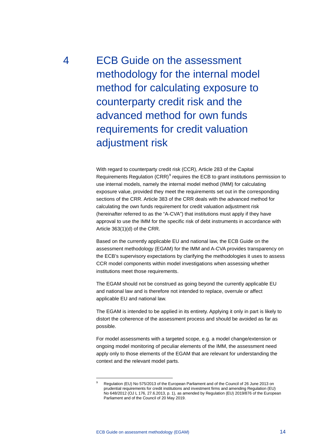<span id="page-14-0"></span>4 ECB Guide on the assessment methodology for the internal model method for calculating exposure to counterparty credit risk and the advanced method for own funds requirements for credit valuation adjustment risk

> With regard to counterparty credit risk (CCR), Article 283 of the Capital Requirements Regulation  $(CRR)^9$  $(CRR)^9$  requires the ECB to grant institutions permission to use internal models, namely the internal model method (IMM) for calculating exposure value, provided they meet the requirements set out in the corresponding sections of the CRR. Article 383 of the CRR deals with the advanced method for calculating the own funds requirement for credit valuation adjustment risk (hereinafter referred to as the "A-CVA") that institutions must apply if they have approval to use the IMM for the specific risk of debt instruments in accordance with Article 363(1)(d) of the CRR.

> Based on the currently applicable EU and national law, the ECB Guide on the assessment methodology (EGAM) for the IMM and A-CVA provides transparency on the ECB's supervisory expectations by clarifying the methodologies it uses to assess CCR model components within model investigations when assessing whether institutions meet those requirements.

The EGAM should not be construed as going beyond the currently applicable EU and national law and is therefore not intended to replace, overrule or affect applicable EU and national law.

The EGAM is intended to be applied in its entirety. Applying it only in part is likely to distort the coherence of the assessment process and should be avoided as far as possible.

For model assessments with a targeted scope, e.g. a model change/extension or ongoing model monitoring of peculiar elements of the IMM, the assessment need apply only to those elements of the EGAM that are relevant for understanding the context and the relevant model parts.

<span id="page-14-1"></span>Regulation (EU) No 575/2013 of the European Parliament and of the Council of 26 June 2013 on prudential requirements for credit institutions and investment firms and amending Regulation (EU) No 648/2012 (OJ L 176, 27.6.2013, p. 1), as amended by Regulation (EU) 2019/876 of the European Parliament and of the Council of 20 May 2019.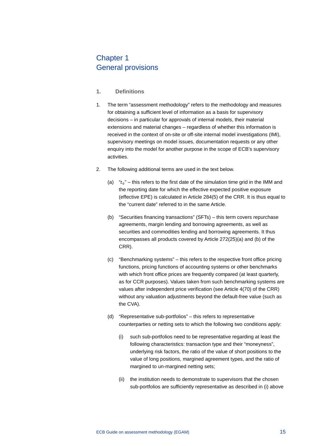## <span id="page-15-0"></span>Chapter 1 General provisions

- **1. Definitions**
- 1. The term "assessment methodology" refers to the methodology and measures for obtaining a sufficient level of information as a basis for supervisory decisions – in particular for approvals of internal models, their material extensions and material changes – regardless of whether this information is received in the context of on-site or off-site internal model investigations (IMI), supervisory meetings on model issues, documentation requests or any other enquiry into the model for another purpose in the scope of ECB's supervisory activities.
- 2. The following additional terms are used in the text below.
	- (a)  $-t_0$ " this refers to the first date of the simulation time grid in the IMM and the reporting date for which the effective expected positive exposure (effective EPE) is calculated in Article 284(5) of the CRR. It is thus equal to the "current date" referred to in the same Article.
	- (b) "Securities financing transactions" (SFTs) this term covers repurchase agreements, margin lending and borrowing agreements, as well as securities and commodities lending and borrowing agreements. It thus encompasses all products covered by Article 272(25)(a) and (b) of the CRR).
	- (c) "Benchmarking systems" this refers to the respective front office pricing functions, pricing functions of accounting systems or other benchmarks with which front office prices are frequently compared (at least quarterly, as for CCR purposes). Values taken from such benchmarking systems are values after independent price verification (see Article 4(70) of the CRR) without any valuation adjustments beyond the default-free value (such as the CVA).
	- (d) "Representative sub-portfolios" this refers to representative counterparties or netting sets to which the following two conditions apply:
		- (i) such sub-portfolios need to be representative regarding at least the following characteristics: transaction type and their "moneyness", underlying risk factors, the ratio of the value of short positions to the value of long positions, margined agreement types, and the ratio of margined to un-margined netting sets;
		- (ii) the institution needs to demonstrate to supervisors that the chosen sub-portfolios are sufficiently representative as described in (i) above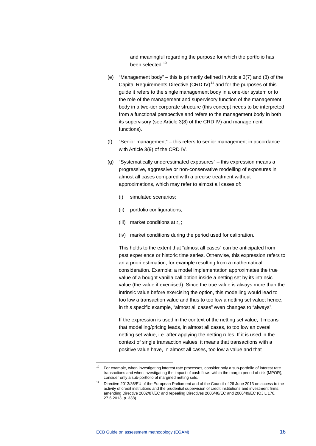and meaningful regarding the purpose for which the portfolio has been selected.<sup>[10](#page-16-0)</sup>

- (e) "Management body" this is primarily defined in Article 3(7) and (8) of the Capital Requirements Directive (CRD IV)<sup>[11](#page-16-1)</sup> and for the purposes of this guide it refers to the single management body in a one-tier system or to the role of the management and supervisory function of the management body in a two-tier corporate structure (this concept needs to be interpreted from a functional perspective and refers to the management body in both its supervisory (see Article 3(8) of the CRD IV) and management functions).
- (f) "Senior management" this refers to senior management in accordance with Article 3(9) of the CRD IV.
- (g) "Systematically underestimated exposures" this expression means a progressive, aggressive or non-conservative modelling of exposures in almost all cases compared with a precise treatment without approximations, which may refer to almost all cases of:
	- (i) simulated scenarios;
	- (ii) portfolio configurations;
	- (iii) market conditions at  $t_0$ ;
	- (iv) market conditions during the period used for calibration.

This holds to the extent that "almost all cases" can be anticipated from past experience or historic time series. Otherwise, this expression refers to an a priori estimation, for example resulting from a mathematical consideration. Example: a model implementation approximates the true value of a bought vanilla call option inside a netting set by its intrinsic value (the value if exercised). Since the true value is always more than the intrinsic value before exercising the option, this modelling would lead to too low a transaction value and thus to too low a netting set value; hence, in this specific example, "almost all cases" even changes to "always".

If the expression is used in the context of the netting set value, it means that modelling/pricing leads, in almost all cases, to too low an overall netting set value, i.e. after applying the netting rules. If it is used in the context of single transaction values, it means that transactions with a positive value have, in almost all cases, too low a value and that

<span id="page-16-0"></span><sup>10</sup> For example, when investigating interest rate processes, consider only a sub-portfolio of interest rate transactions and when investigating the impact of cash flows within the margin period of risk (MPOR), consider only a sub-portfolio of margined netting sets.

<span id="page-16-1"></span><sup>11</sup> Directive 2013/36/EU of the European Parliament and of the Council of 26 June 2013 on access to the activity of credit institutions and the prudential supervision of credit institutions and investment firms, amending Directive 2002/87/EC and repealing Directives 2006/48/EC and 2006/49/EC (OJ L 176, 27.6.2013, p. 338).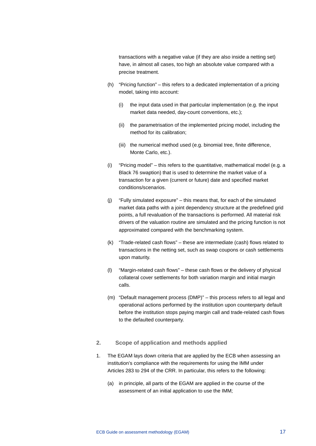transactions with a negative value (if they are also inside a netting set) have, in almost all cases, too high an absolute value compared with a precise treatment.

- (h) "Pricing function" this refers to a dedicated implementation of a pricing model, taking into account:
	- (i) the input data used in that particular implementation (e.g. the input market data needed, day-count conventions, etc.);
	- (ii) the parametrisation of the implemented pricing model, including the method for its calibration;
	- (iii) the numerical method used (e.g. binomial tree, finite difference, Monte Carlo, etc.).
- (i) "Pricing model" this refers to the quantitative, mathematical model (e.g. a Black 76 swaption) that is used to determine the market value of a transaction for a given (current or future) date and specified market conditions/scenarios.
- (j) "Fully simulated exposure" this means that, for each of the simulated market data paths with a joint dependency structure at the predefined grid points, a full revaluation of the transactions is performed. All material risk drivers of the valuation routine are simulated and the pricing function is not approximated compared with the benchmarking system.
- (k) "Trade-related cash flows" these are intermediate (cash) flows related to transactions in the netting set, such as swap coupons or cash settlements upon maturity.
- (l) "Margin-related cash flows" these cash flows or the delivery of physical collateral cover settlements for both variation margin and initial margin calls.
- (m) "Default management process (DMP)" this process refers to all legal and operational actions performed by the institution upon counterparty default before the institution stops paying margin call and trade-related cash flows to the defaulted counterparty.
- **2. Scope of application and methods applied**
- 1. The EGAM lays down criteria that are applied by the ECB when assessing an institution's compliance with the requirements for using the IMM under Articles 283 to 294 of the CRR. In particular, this refers to the following:
	- (a) in principle, all parts of the EGAM are applied in the course of the assessment of an initial application to use the IMM;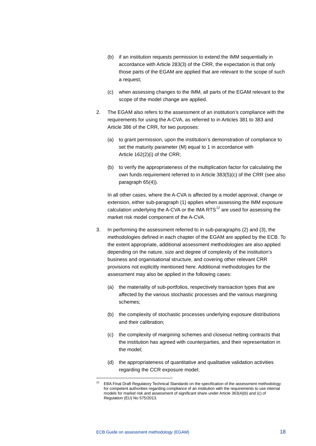- (b) if an institution requests permission to extend the IMM sequentially in accordance with Article 283(3) of the CRR, the expectation is that only those parts of the EGAM are applied that are relevant to the scope of such a request;
- (c) when assessing changes to the IMM, all parts of the EGAM relevant to the scope of the model change are applied.
- 2. The EGAM also refers to the assessment of an institution's compliance with the requirements for using the A-CVA, as referred to in Articles 381 to 383 and Article 386 of the CRR, for two purposes:
	- (a) to grant permission, upon the institution's demonstration of compliance to set the maturity parameter (M) equal to 1 in accordance with Article 162(2)(i) of the CRR;
	- (b) to verify the appropriateness of the multiplication factor for calculating the own funds requirement referred to in Article 383(5)(c) of the CRR (see also paragraph 65(4)).

In all other cases, where the A-CVA is affected by a model approval, change or extension, either sub-paragraph (1) applies when assessing the IMM exposure calculation underlying the A-CVA or the IMA RTS $12$  are used for assessing the market risk model component of the A-CVA.

- 3. In performing the assessment referred to in sub-paragraphs (2) and (3), the methodologies defined in each chapter of the EGAM are applied by the ECB. To the extent appropriate, additional assessment methodologies are also applied depending on the nature, size and degree of complexity of the institution's business and organisational structure, and covering other relevant CRR provisions not explicitly mentioned here. Additional methodologies for the assessment may also be applied in the following cases:
	- (a) the materiality of sub-portfolios, respectively transaction types that are affected by the various stochastic processes and the various margining schemes;
	- (b) the complexity of stochastic processes underlying exposure distributions and their calibration;
	- (c) the complexity of margining schemes and closeout netting contracts that the institution has agreed with counterparties, and their representation in the model;
	- (d) the appropriateness of quantitative and qualitative validation activities regarding the CCR exposure model;

<span id="page-18-0"></span><sup>12</sup> EBA Final Draft Regulatory Technical Standards on the specification of the assessment methodology for competent authorities regarding compliance of an institution with the requirements to use internal models for market risk and assessment of significant share under Article 363(4)(b) and (c) of Regulation (EU) No 575/2013.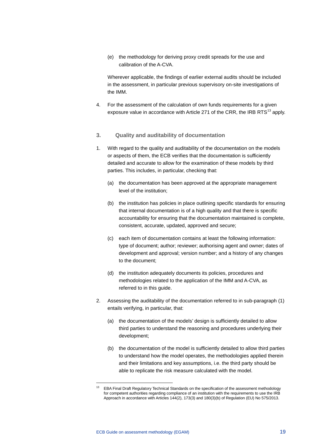(e) the methodology for deriving proxy credit spreads for the use and calibration of the A-CVA.

Wherever applicable, the findings of earlier external audits should be included in the assessment, in particular previous supervisory on-site investigations of the IMM.

- 4. For the assessment of the calculation of own funds requirements for a given exposure value in accordance with Article 271 of the CRR, the IRB RTS $^{13}$  $^{13}$  $^{13}$  apply.
- **3. Quality and auditability of documentation**
- 1. With regard to the quality and auditability of the documentation on the models or aspects of them, the ECB verifies that the documentation is sufficiently detailed and accurate to allow for the examination of these models by third parties. This includes, in particular, checking that:
	- (a) the documentation has been approved at the appropriate management level of the institution;
	- (b) the institution has policies in place outlining specific standards for ensuring that internal documentation is of a high quality and that there is specific accountability for ensuring that the documentation maintained is complete, consistent, accurate, updated, approved and secure;
	- (c) each item of documentation contains at least the following information: type of document; author; reviewer; authorising agent and owner; dates of development and approval; version number; and a history of any changes to the document;
	- (d) the institution adequately documents its policies, procedures and methodologies related to the application of the IMM and A-CVA, as referred to in this guide.
- 2. Assessing the auditability of the documentation referred to in sub-paragraph (1) entails verifying, in particular, that:
	- (a) the documentation of the models' design is sufficiently detailed to allow third parties to understand the reasoning and procedures underlying their development;
	- (b) the documentation of the model is sufficiently detailed to allow third parties to understand how the model operates, the methodologies applied therein and their limitations and key assumptions, i.e. the third party should be able to replicate the risk measure calculated with the model.

<span id="page-19-0"></span><sup>&</sup>lt;sup>13</sup> EBA Final Draft Regulatory Technical Standards on the specification of the assessment methodology for competent authorities regarding compliance of an institution with the requirements to use the IRB Approach in accordance with Articles 144(2), 173(3) and 180(3)(b) of Regulation (EU) No 575/2013.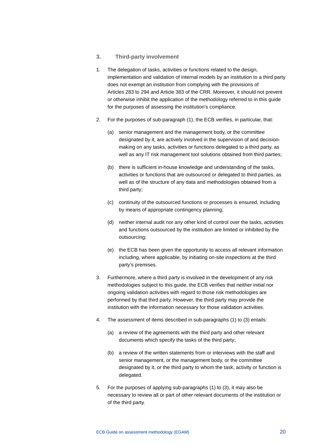#### **3. Third-party involvement**

- 1. The delegation of tasks, activities or functions related to the design, implementation and validation of internal models by an institution to a third party does not exempt an institution from complying with the provisions of Articles 283 to 294 and Article 383 of the CRR. Moreover, it should not prevent or otherwise inhibit the application of the methodology referred to in this guide for the purposes of assessing the institution's compliance.
- 2. For the purposes of sub-paragraph (1), the ECB verifies, in particular, that:
	- (a) senior management and the management body, or the committee designated by it, are actively involved in the supervision of and decisionmaking on any tasks, activities or functions delegated to a third party, as well as any IT risk management tool solutions obtained from third parties;
	- (b) there is sufficient in-house knowledge and understanding of the tasks, activities or functions that are outsourced or delegated to third parties, as well as of the structure of any data and methodologies obtained from a third party;
	- (c) continuity of the outsourced functions or processes is ensured, including by means of appropriate contingency planning;
	- (d) neither internal audit nor any other kind of control over the tasks, activities and functions outsourced by the institution are limited or inhibited by the outsourcing;
	- (e) the ECB has been given the opportunity to access all relevant information including, where applicable, by initiating on-site inspections at the third party's premises.
- 3. Furthermore, where a third party is involved in the development of any risk methodologies subject to this guide, the ECB verifies that neither initial nor ongoing validation activities with regard to those risk methodologies are performed by that third party. However, the third party may provide the institution with the information necessary for those validation activities.
- 4. The assessment of items described in sub-paragraphs (1) to (3) entails:
	- (a) a review of the agreements with the third party and other relevant documents which specify the tasks of the third party;
	- (b) a review of the written statements from or interviews with the staff and senior management, or the management body, or the committee designated by it, or the third party to whom the task, activity or function is delegated.
- 5. For the purposes of applying sub-paragraphs (1) to (3), it may also be necessary to review all or part of other relevant documents of the institution or of the third party.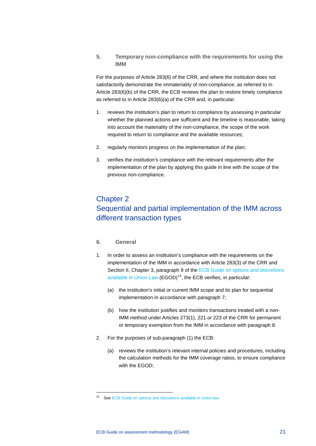**5. Temporary non-compliance with the requirements for using the IMM**

For the purposes of Article 283(6) of the CRR, and where the institution does not satisfactorily demonstrate the immateriality of non-compliance, as referred to in Article 283(6)(b) of the CRR, the ECB reviews the plan to restore timely compliance as referred to in Article 283(6)(a) of the CRR and, in particular:

- 1. reviews the institution's plan to return to compliance by assessing in particular whether the planned actions are sufficient and the timeline is reasonable, taking into account the materiality of the non-compliance, the scope of the work required to return to compliance and the available resources;
- 2. regularly monitors progress on the implementation of the plan;
- 3. verifies the institution's compliance with the relevant requirements after the implementation of the plan by applying this guide in line with the scope of the previous non-compliance.

## <span id="page-21-0"></span>Chapter 2

## Sequential and partial implementation of the IMM across different transaction types

#### **6. General**

- 1. In order to assess an institution's compliance with the requirements on the implementation of the IMM in accordance with Article 283(3) of the CRR and Section II, Chapter 3, paragraph 9 of the ECB Guide on options and discretions [available in Union Law](https://www.bankingsupervision.europa.eu/ecb/pub/pdf/ond_guide_consolidated.en.pdf) (EGOD)<sup>[14](#page-21-1)</sup>, the ECB verifies, in particular:
	- (a) the institution's initial or current IMM scope and its plan for sequential implementation in accordance with paragraph 7;
	- (b) how the institution justifies and monitors transactions treated with a non-IMM method under Articles 273(1), 221 or 223 of the CRR for permanent or temporary exemption from the IMM in accordance with paragraph 8.
- 2. For the purposes of sub-paragraph (1) the ECB:
	- (a) reviews the institution's relevant internal policies and procedures, including the calculation methods for the IMM coverage ratios, to ensure compliance with the EGOD;

<span id="page-21-1"></span><sup>14</sup> Se[e ECB Guide on options and discretions](https://www.bankingsupervision.europa.eu/ecb/pub/pdf/ond_guide_consolidated.en.pdf) available in Union law.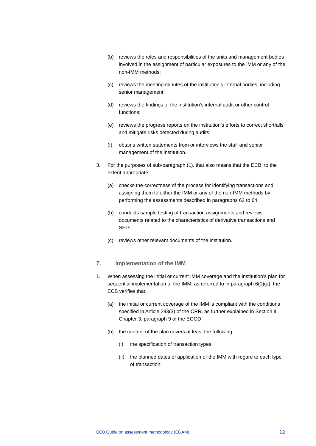- (b) reviews the roles and responsibilities of the units and management bodies involved in the assignment of particular exposures to the IMM or any of the non-IMM methods;
- (c) reviews the meeting minutes of the institution's internal bodies, including senior management;
- (d) reviews the findings of the institution's internal audit or other control functions;
- (e) reviews the progress reports on the institution's efforts to correct shortfalls and mitigate risks detected during audits;
- (f) obtains written statements from or interviews the staff and senior management of the institution.
- 3. For the purposes of sub-paragraph (1), that also means that the ECB, to the extent appropriate:
	- (a) checks the correctness of the process for identifying transactions and assigning them to either the IMM or any of the non-IMM methods by performing the assessments described in paragraphs 62 to 64;
	- (b) conducts sample testing of transaction assignments and reviews documents related to the characteristics of derivative transactions and SFTs;
	- (c) reviews other relevant documents of the institution.

#### **7. Implementation of the IMM**

- <span id="page-22-0"></span>1. When assessing the initial or current IMM coverage and the institution's plan for sequential implementation of the IMM, as referred to in paragraph 6(1)(a), the ECB verifies that:
	- (a) the initial or current coverage of the IMM is compliant with the conditions specified in Article 283(3) of the CRR, as further explained in Section II, Chapter 3, paragraph 9 of the EGOD;
	- (b) the content of the plan covers at least the following:
		- (i) the specification of transaction types;
		- (ii) the planned dates of application of the IMM with regard to each type of transaction;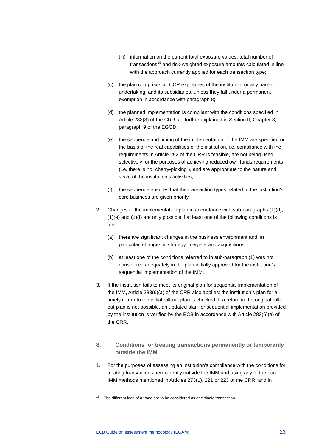- (iii) information on the current total exposure values, total number of transactions<sup>[15](#page-23-0)</sup> and risk-weighted exposure amounts calculated in line with the approach currently applied for each transaction type;
- (c) the plan comprises all CCR exposures of the institution, or any parent undertaking, and its subsidiaries, unless they fall under a permanent exemption in accordance with paragraph 8;
- (d) the planned implementation is compliant with the conditions specified in Article 283(3) of the CRR, as further explained in Section II, Chapter 3, paragraph 9 of the EGOD;
- (e) the sequence and timing of the implementation of the IMM are specified on the basis of the real capabilities of the institution, i.e. compliance with the requirements in Article 292 of the CRR is feasible, are not being used selectively for the purposes of achieving reduced own funds requirements (i.e. there is no "cherry-picking"), and are appropriate to the nature and scale of the institution's activities;
- (f) the sequence ensures that the transaction types related to the institution's core business are given priority.
- 2. Changes to the implementation plan in accordance with sub-paragraphs (1)(d), (1)(e) and (1)(f) are only possible if at least one of the following conditions is met:
	- (a) there are significant changes in the business environment and, in particular, changes in strategy, mergers and acquisitions;
	- (b) at least one of the conditions referred to in sub-paragraph [\(1\)](#page-22-0) was not considered adequately in the plan initially approved for the institution's sequential implementation of the IMM.
- 3. If the institution fails to meet its original plan for sequential implementation of the IMM, Article 283(6)(a) of the CRR also applies: the institution's plan for a timely return to the initial roll-out plan is checked. If a return to the original rollout plan is not possible, an updated plan for sequential implementation provided by the institution is verified by the ECB in accordance with Article 283(6)(a) of the CRR.
- **8. Conditions for treating transactions permanently or temporarily outside the IMM**
- 1. For the purposes of assessing an institution's compliance with the conditions for treating transactions permanently outside the IMM and using any of the non-IMM methods mentioned in Articles 273(1), 221 or 223 of the CRR, and in

<span id="page-23-0"></span> $15$  The different legs of a trade are to be considered as one single transaction.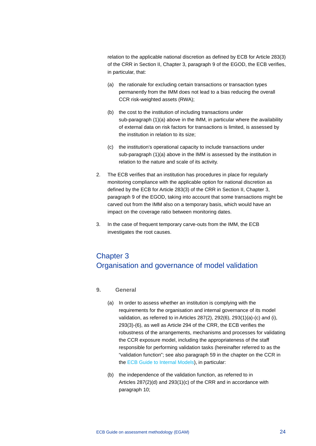relation to the applicable national discretion as defined by ECB for Article 283(3) of the CRR in Section II, Chapter 3, paragraph 9 of the EGOD, the ECB verifies, in particular, that:

- (a) the rationale for excluding certain transactions or transaction types permanently from the IMM does not lead to a bias reducing the overall CCR risk-weighted assets (RWA);
- (b) the cost to the institution of including transactions under sub-paragraph (1)(a) above in the IMM, in particular where the availability of external data on risk factors for transactions is limited, is assessed by the institution in relation to its size;
- (c) the institution's operational capacity to include transactions under sub-paragraph (1)(a) above in the IMM is assessed by the institution in relation to the nature and scale of its activity.
- 2. The ECB verifies that an institution has procedures in place for regularly monitoring compliance with the applicable option for national discretion as defined by the ECB for Article 283(3) of the CRR in Section II, Chapter 3, paragraph 9 of the EGOD, taking into account that some transactions might be carved out from the IMM also on a temporary basis, which would have an impact on the coverage ratio between monitoring dates.
- 3. In the case of frequent temporary carve-outs from the IMM, the ECB investigates the root causes.

## <span id="page-24-0"></span>Chapter 3 Organisation and governance of model validation

- **9. General**
	- (a) In order to assess whether an institution is complying with the requirements for the organisation and internal governance of its model validation, as referred to in Articles 287(2), 292(6), 293(1)(a)-(c) and (i), 293(3)-(6), as well as Article 294 of the CRR, the ECB verifies the robustness of the arrangements, mechanisms and processes for validating the CCR exposure model, including the appropriateness of the staff responsible for performing validation tasks (hereinafter referred to as the "validation function"; see also paragraph 59 in the chapter on the CCR in the [ECB Guide to Internal Models\)](https://www.bankingsupervision.europa.eu/ecb/pub/pdf/ssm.guidetointernalmodels_consolidated_201910%7E97fd49fb08.en.pdf), in particular:
	- (b) the independence of the validation function, as referred to in Articles 287(2)(d) and 293(1)(c) of the CRR and in accordance with paragraph 10;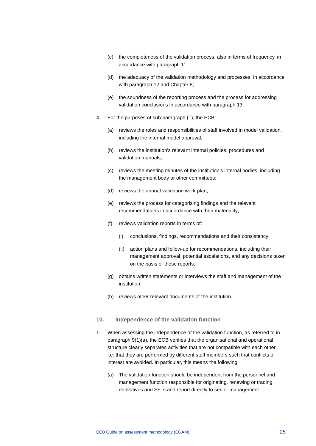- (c) the completeness of the validation process, also in terms of frequency, in accordance with paragraph 11;
- (d) the adequacy of the validation methodology and processes, in accordance with paragraph 12 and Chapter 8;
- (e) the soundness of the reporting process and the process for addressing validation conclusions in accordance with paragraph 13.
- 4. For the purposes of sub-paragraph (1), the ECB:
	- (a) reviews the roles and responsibilities of staff involved in model validation, including the internal model approval;
	- (b) reviews the institution's relevant internal policies, procedures and validation manuals;
	- (c) reviews the meeting minutes of the institution's internal bodies, including the management body or other committees;
	- (d) reviews the annual validation work plan;
	- (e) reviews the process for categorising findings and the relevant recommendations in accordance with their materiality;
	- (f) reviews validation reports in terms of:
		- (i) conclusions, findings, recommendations and their consistency;
		- (ii) action plans and follow-up for recommendations, including their management approval, potential escalations, and any decisions taken on the basis of those reports;
	- (g) obtains written statements or interviews the staff and management of the institution;
	- (h) reviews other relevant documents of the institution.

#### **10. Independence of the validation function**

- 1. When assessing the independence of the validation function, as referred to in paragraph 9(1)(a), the ECB verifies that the organisational and operational structure clearly separates activities that are not compatible with each other, i.e. that they are performed by different staff members such that conflicts of interest are avoided. In particular, this means the following.
	- (a) The validation function should be independent from the personnel and management function responsible for originating, renewing or trading derivatives and SFTs and report directly to senior management.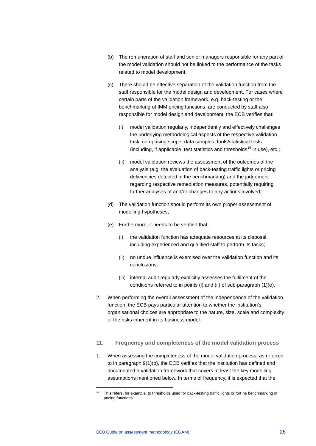- (b) The remuneration of staff and senior managers responsible for any part of the model validation should not be linked to the performance of the tasks related to model development.
- (c) There should be effective separation of the validation function from the staff responsible for the model design and development. For cases where certain parts of the validation framework, e.g. back-testing or the benchmarking of IMM pricing functions, are conducted by staff also responsible for model design and development, the ECB verifies that:
	- (i) model validation regularly, independently and effectively challenges the underlying methodological aspects of the respective validation task, comprising scope, data samples, tools/statistical tests (including, if applicable, test statistics and thresholds<sup>[16](#page-26-0)</sup> in use), etc.;
	- (ii) model validation reviews the assessment of the outcomes of the analysis (e.g. the evaluation of back-testing traffic lights or pricing deficiencies detected in the benchmarking) and the judgement regarding respective remediation measures, potentially requiring further analyses of and/or changes to any actions involved;
- (d) The validation function should perform its own proper assessment of modelling hypotheses;
- (e) Furthermore, it needs to be verified that:
	- (i) the validation function has adequate resources at its disposal, including experienced and qualified staff to perform its tasks;
	- (ii) no undue influence is exercised over the validation function and its conclusions;
	- (iii) internal audit regularly explicitly assesses the fulfilment of the conditions referred to in points (i) and (ii) of sub-paragraph (1)(e).
- 2. When performing the overall assessment of the independence of the validation function, the ECB pays particular attention to whether the institution's organisational choices are appropriate to the nature, size, scale and complexity of the risks inherent in its business model.
- **11. Frequency and completeness of the model validation process**
- 1. When assessing the completeness of the model validation process, as referred to in paragraph 9(1)(b), the ECB verifies that the institution has defined and documented a validation framework that covers at least the key modelling assumptions mentioned below. In terms of frequency, it is expected that the

<span id="page-26-0"></span>This refers, for example, to thresholds used for back-testing traffic lights or fort he benchmarking of pricing functions.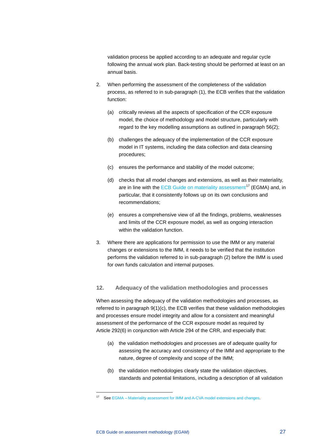validation process be applied according to an adequate and regular cycle following the annual work plan. Back-testing should be performed at least on an annual basis.

- 2. When performing the assessment of the completeness of the validation process, as referred to in sub-paragraph (1), the ECB verifies that the validation function:
	- (a) critically reviews all the aspects of specification of the CCR exposure model, the choice of methodology and model structure, particularly with regard to the key modelling assumptions as outlined in paragraph 56(2);
	- (b) challenges the adequacy of the implementation of the CCR exposure model in IT systems, including the data collection and data cleansing procedures;
	- (c) ensures the performance and stability of the model outcome;
	- (d) checks that all model changes and extensions, as well as their materiality, are in line with the [ECB Guide on materiality assessment](https://www.bankingsupervision.europa.eu/ecb/pub/pdf/ssm.egma_guide_201709.en.pdf)<sup>[17](#page-27-0)</sup> (EGMA) and, in particular, that it consistently follows up on its own conclusions and recommendations;
	- (e) ensures a comprehensive view of all the findings, problems, weaknesses and limits of the CCR exposure model, as well as ongoing interaction within the validation function.
- 3. Where there are applications for permission to use the IMM or any material changes or extensions to the IMM, it needs to be verified that the institution performs the validation referred to in sub-paragraph (2) before the IMM is used for own funds calculation and internal purposes.

#### **12. Adequacy of the validation methodologies and processes**

When assessing the adequacy of the validation methodologies and processes, as referred to in paragraph 9(1)(c), the ECB verifies that these validation methodologies and processes ensure model integrity and allow for a consistent and meaningful assessment of the performance of the CCR exposure model as required by Article 292(6) in conjunction with Article 294 of the CRR, and especially that:

- (a) the validation methodologies and processes are of adequate quality for assessing the accuracy and consistency of the IMM and appropriate to the nature, degree of complexity and scope of the IMM;
- (b) the validation methodologies clearly state the validation objectives, standards and potential limitations, including a description of all validation

<span id="page-27-0"></span><sup>17</sup> See EGMA – [Materiality assessment for IMM and A-CVA model extensions and changes.](https://www.bankingsupervision.europa.eu/ecb/pub/pdf/ssm.egma_guide_201709.en.pdf)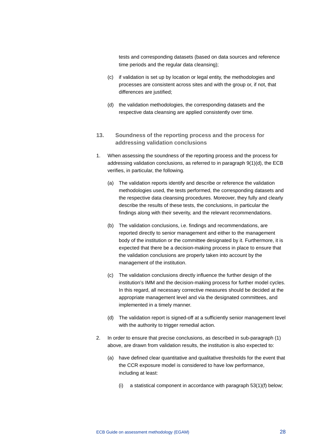tests and corresponding datasets (based on data sources and reference time periods and the regular data cleansing);

- (c) if validation is set up by location or legal entity, the methodologies and processes are consistent across sites and with the group or, if not, that differences are justified:
- (d) the validation methodologies, the corresponding datasets and the respective data cleansing are applied consistently over time.
- **13. Soundness of the reporting process and the process for addressing validation conclusions**
- 1. When assessing the soundness of the reporting process and the process for addressing validation conclusions, as referred to in paragraph 9(1)(d), the ECB verifies, in particular, the following.
	- (a) The validation reports identify and describe or reference the validation methodologies used, the tests performed, the corresponding datasets and the respective data cleansing procedures. Moreover, they fully and clearly describe the results of these tests, the conclusions, in particular the findings along with their severity, and the relevant recommendations.
	- (b) The validation conclusions, i.e. findings and recommendations, are reported directly to senior management and either to the management body of the institution or the committee designated by it. Furthermore, it is expected that there be a decision-making process in place to ensure that the validation conclusions are properly taken into account by the management of the institution.
	- (c) The validation conclusions directly influence the further design of the institution's IMM and the decision-making process for further model cycles. In this regard, all necessary corrective measures should be decided at the appropriate management level and via the designated committees, and implemented in a timely manner.
	- (d) The validation report is signed-off at a sufficiently senior management level with the authority to trigger remedial action.
- 2. In order to ensure that precise conclusions, as described in sub-paragraph (1) above, are drawn from validation results, the institution is also expected to:
	- (a) have defined clear quantitative and qualitative thresholds for the event that the CCR exposure model is considered to have low performance, including at least:
		- (i) a statistical component in accordance with paragraph  $53(1)(f)$  below;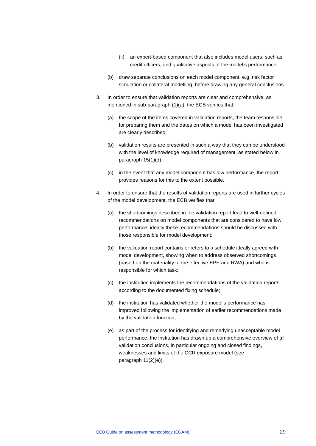- (ii) an expert-based component that also includes model users, such as credit officers, and qualitative aspects of the model's performance;
- (b) draw separate conclusions on each model component, e.g. risk factor simulation or collateral modelling, before drawing any general conclusions.
- 3. In order to ensure that validation reports are clear and comprehensive, as mentioned in sub-paragraph (1)(a), the ECB verifies that:
	- (a) the scope of the items covered in validation reports, the team responsible for preparing them and the dates on which a model has been investigated are clearly described;
	- (b) validation results are presented in such a way that they can be understood with the level of knowledge required of management, as stated below in paragraph 15(1)(d);
	- (c) in the event that any model component has low performance, the report provides reasons for this to the extent possible.
- 4. In order to ensure that the results of validation reports are used in further cycles of the model development, the ECB verifies that:
	- (a) the shortcomings described in the validation report lead to well-defined recommendations on model components that are considered to have low performance; ideally these recommendations should be discussed with those responsible for model development;
	- (b) the validation report contains or refers to a schedule ideally agreed with model development, showing when to address observed shortcomings (based on the materiality of the effective EPE and RWA) and who is responsible for which task;
	- (c) the institution implements the recommendations of the validation reports according to the documented fixing schedule;
	- (d) the institution has validated whether the model's performance has improved following the implementation of earlier recommendations made by the validation function;
	- (e) as part of the process for identifying and remedying unacceptable model performance, the institution has drawn up a comprehensive overview of all validation conclusions, in particular ongoing and closed findings, weaknesses and limits of the CCR exposure model (see paragraph 11(2)(e)).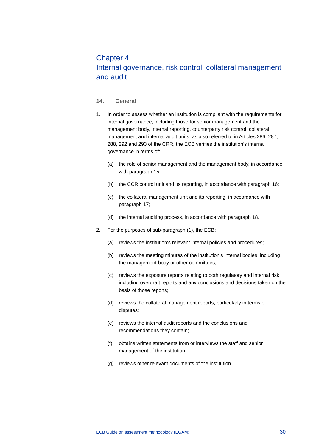## <span id="page-30-0"></span>Chapter 4 Internal governance, risk control, collateral management and audit

#### **14. General**

- 1. In order to assess whether an institution is compliant with the requirements for internal governance, including those for senior management and the management body, internal reporting, counterparty risk control, collateral management and internal audit units, as also referred to in Articles 286, 287, 288, 292 and 293 of the CRR, the ECB verifies the institution's internal governance in terms of:
	- (a) the role of senior management and the management body, in accordance with paragraph 15;
	- (b) the CCR control unit and its reporting, in accordance with paragraph 16;
	- (c) the collateral management unit and its reporting, in accordance with paragraph 17;
	- (d) the internal auditing process, in accordance with paragraph 18.
- 2. For the purposes of sub-paragraph (1), the ECB:
	- (a) reviews the institution's relevant internal policies and procedures;
	- (b) reviews the meeting minutes of the institution's internal bodies, including the management body or other committees;
	- (c) reviews the exposure reports relating to both regulatory and internal risk, including overdraft reports and any conclusions and decisions taken on the basis of those reports;
	- (d) reviews the collateral management reports, particularly in terms of disputes;
	- (e) reviews the internal audit reports and the conclusions and recommendations they contain;
	- (f) obtains written statements from or interviews the staff and senior management of the institution;
	- (g) reviews other relevant documents of the institution.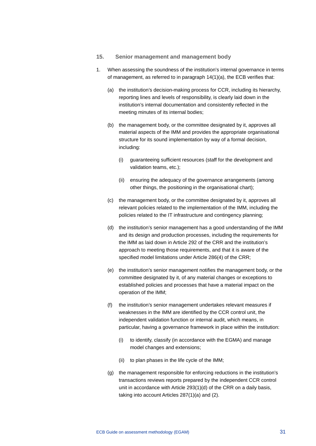- **15. Senior management and management body**
- 1. When assessing the soundness of the institution's internal governance in terms of management, as referred to in paragraph 14(1)(a), the ECB verifies that:
	- (a) the institution's decision-making process for CCR, including its hierarchy, reporting lines and levels of responsibility, is clearly laid down in the institution's internal documentation and consistently reflected in the meeting minutes of its internal bodies;
	- (b) the management body, or the committee designated by it, approves all material aspects of the IMM and provides the appropriate organisational structure for its sound implementation by way of a formal decision, including:
		- (i) guaranteeing sufficient resources (staff for the development and validation teams, etc.);
		- (ii) ensuring the adequacy of the governance arrangements (among other things, the positioning in the organisational chart);
	- (c) the management body, or the committee designated by it, approves all relevant policies related to the implementation of the IMM, including the policies related to the IT infrastructure and contingency planning;
	- (d) the institution's senior management has a good understanding of the IMM and its design and production processes, including the requirements for the IMM as laid down in Article 292 of the CRR and the institution's approach to meeting those requirements, and that it is aware of the specified model limitations under Article 286(4) of the CRR;
	- (e) the institution's senior management notifies the management body, or the committee designated by it, of any material changes or exceptions to established policies and processes that have a material impact on the operation of the IMM;
	- (f) the institution's senior management undertakes relevant measures if weaknesses in the IMM are identified by the CCR control unit, the independent validation function or internal audit, which means, in particular, having a governance framework in place within the institution:
		- (i) to identify, classify (in accordance with the EGMA) and manage model changes and extensions;
		- (ii) to plan phases in the life cycle of the IMM;
	- (g) the management responsible for enforcing reductions in the institution's transactions reviews reports prepared by the independent CCR control unit in accordance with Article 293(1)(d) of the CRR on a daily basis, taking into account Articles 287(1)(a) and (2).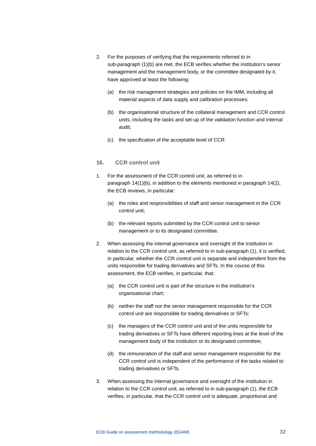- 2. For the purposes of verifying that the requirements referred to in sub-paragraph (1)(b) are met, the ECB verifies whether the institution's senior management and the management body, or the committee designated by it, have approved at least the following:
	- (a) the risk management strategies and policies on the IMM, including all material aspects of data supply and calibration processes;
	- (b) the organisational structure of the collateral management and CCR control units, including the tasks and set-up of the validation function and internal audit;
	- (c) the specification of the acceptable level of CCR.

#### **16. CCR control unit**

- 1. For the assessment of the CCR control unit, as referred to in paragraph 14(1)(b), in addition to the elements mentioned in paragraph 14(2), the ECB reviews, in particular:
	- (a) the roles and responsibilities of staff and senior management in the CCR control unit;
	- (b) the relevant reports submitted by the CCR control unit to senior management or to its designated committee.
- 2. When assessing the internal governance and oversight of the institution in relation to the CCR control unit, as referred to in sub-paragraph (1), it is verified, in particular, whether the CCR control unit is separate and independent from the units responsible for trading derivatives and SFTs. In the course of this assessment, the ECB verifies, in particular, that:
	- (a) the CCR control unit is part of the structure in the institution's organisational chart;
	- (b) neither the staff nor the senior management responsible for the CCR control unit are responsible for trading derivatives or SFTs;
	- (c) the managers of the CCR control unit and of the units responsible for trading derivatives or SFTs have different reporting lines at the level of the management body of the institution or its designated committee;
	- (d) the remuneration of the staff and senior management responsible for the CCR control unit is independent of the performance of the tasks related to trading derivatives or SFTs.
- 3. When assessing the internal governance and oversight of the institution in relation to the CCR control unit, as referred to in sub-paragraph (1), the ECB verifies, in particular, that the CCR control unit is adequate, proportional and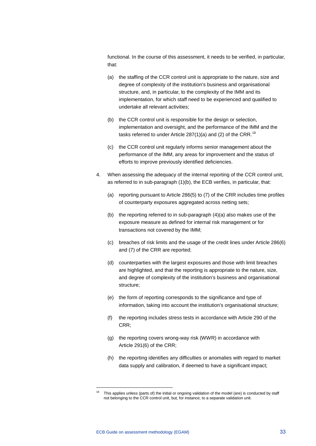functional. In the course of this assessment, it needs to be verified, in particular, that:

- (a) the staffing of the CCR control unit is appropriate to the nature, size and degree of complexity of the institution's business and organisational structure, and, in particular, to the complexity of the IMM and its implementation, for which staff need to be experienced and qualified to undertake all relevant activities;
- (b) the CCR control unit is responsible for the design or selection, implementation and oversight, and the performance of the IMM and the tasks referred to under Article  $287(1)(a)$  and (2) of the CRR.<sup>[18](#page-33-0)</sup>
- (c) the CCR control unit regularly informs senior management about the performance of the IMM, any areas for improvement and the status of efforts to improve previously identified deficiencies.
- 4. When assessing the adequacy of the internal reporting of the CCR control unit, as referred to in sub-paragraph (1)(b), the ECB verifies, in particular, that:
	- (a) reporting pursuant to Article 286(5) to (7) of the CRR includes time profiles of counterparty exposures aggregated across netting sets;
	- (b) the reporting referred to in sub-paragraph (4)(a) also makes use of the exposure measure as defined for internal risk management or for transactions not covered by the IMM;
	- (c) breaches of risk limits and the usage of the credit lines under Article 286(6) and (7) of the CRR are reported;
	- (d) counterparties with the largest exposures and those with limit breaches are highlighted, and that the reporting is appropriate to the nature, size, and degree of complexity of the institution's business and organisational structure;
	- (e) the form of reporting corresponds to the significance and type of information, taking into account the institution's organisational structure;
	- (f) the reporting includes stress tests in accordance with Article 290 of the CRR;
	- (g) the reporting covers wrong-way risk (WWR) in accordance with Article 291(6) of the CRR;
	- (h) the reporting identifies any difficulties or anomalies with regard to market data supply and calibration, if deemed to have a significant impact;

<span id="page-33-0"></span>This applies unless (parts of) the initial or ongoing validation of the model (are) is conducted by staff not belonging to the CCR control unit, but, for instance, to a separate validation unit.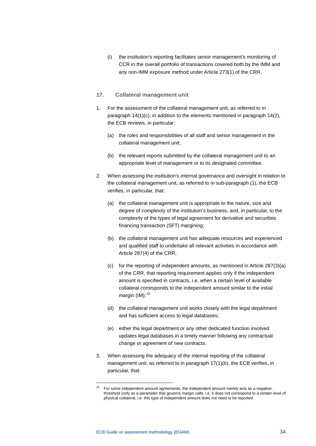(i) the institution's reporting facilitates senior management's monitoring of CCR in the overall portfolio of transactions covered both by the IMM and any non-IMM exposure method under Article 273(1) of the CRR.

#### **17. Collateral management unit**

- 1. For the assessment of the collateral management unit, as referred to in paragraph 14(1)(c), in addition to the elements mentioned in paragraph 14(2), the ECB reviews, in particular:
	- (a) the roles and responsibilities of all staff and senior management in the collateral management unit;
	- (b) the relevant reports submitted by the collateral management unit to an appropriate level of management or to its designated committee.
- 2. When assessing the institution's internal governance and oversight in relation to the collateral management unit, as referred to in sub-paragraph (1), the ECB verifies, in particular, that:
	- (a) the collateral management unit is appropriate to the nature, size and degree of complexity of the institution's business, and, in particular, to the complexity of the types of legal agreement for derivative and securities financing transaction (SFT) margining;
	- (b) the collateral management unit has adequate resources and experienced and qualified staff to undertake all relevant activities in accordance with Article 287(4) of the CRR;
	- (c) for the reporting of independent amounts, as mentioned in Article 287(3)(a) of the CRR, that reporting requirement applies only if the independent amount is specified in contracts, i.e. when a certain level of available collateral corresponds to the independent amount similar to the initial margin  $(IM)$ ;<sup>[19](#page-34-0)</sup>
	- (d) the collateral management unit works closely with the legal department and has sufficient access to legal databases;
	- (e) either the legal department or any other dedicated function involved updates legal databases in a timely manner following any contractual change or agreement of new contracts.
- 3. When assessing the adequacy of the internal reporting of the collateral management unit, as referred to in paragraph 17(1)(b), the ECB verifies, in particular, that:

<span id="page-34-0"></span> $19$  For some independent amount agreements, the independent amount merely acts as a negative threshold (only as a parameter that governs margin calls, i.e. it does not correspond to a certain level of physical collateral, i.e. this type of independent amount does not need to be reported.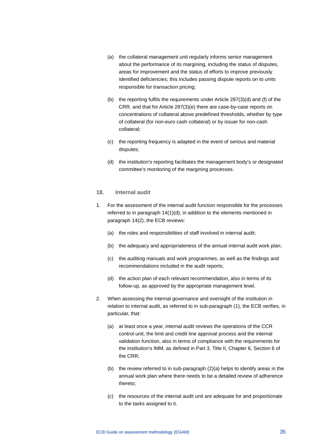- (a) the collateral management unit regularly informs senior management about the performance of its margining, including the status of disputes, areas for improvement and the status of efforts to improve previously identified deficiencies; this includes passing dispute reports on to units responsible for transaction pricing;
- (b) the reporting fulfils the requirements under Article 287(3)(d) and (f) of the CRR, and that for Article 287(3)(e) there are case-by-case reports on concentrations of collateral above predefined thresholds, whether by type of collateral (for non-euro cash collateral) or by issuer for non-cash collateral;
- (c) the reporting frequency is adapted in the event of serious and material disputes;
- (d) the institution's reporting facilitates the management body's or designated committee's monitoring of the margining processes.

#### **18. Internal audit**

- 1. For the assessment of the internal audit function responsible for the processes referred to in paragraph 14(1)(d), in addition to the elements mentioned in paragraph 14(2), the ECB reviews:
	- (a) the roles and responsibilities of staff involved in internal audit;
	- (b) the adequacy and appropriateness of the annual internal audit work plan;
	- (c) the auditing manuals and work programmes, as well as the findings and recommendations included in the audit reports;
	- (d) the action plan of each relevant recommendation, also in terms of its follow-up, as approved by the appropriate management level.
- 2. When assessing the internal governance and oversight of the institution in relation to internal audit, as referred to in sub-paragraph (1), the ECB verifies, in particular, that:
	- (a) at least once a year, internal audit reviews the operations of the CCR control unit, the limit and credit line approval process and the internal validation function, also in terms of compliance with the requirements for the institution's IMM, as defined in Part 3, Title II, Chapter 6, Section 6 of the CRR;
	- (b) the review referred to in sub-paragraph (2)(a) helps to identify areas in the annual work plan where there needs to be a detailed review of adherence thereto;
	- (c) the resources of the internal audit unit are adequate for and proportionate to the tasks assigned to it.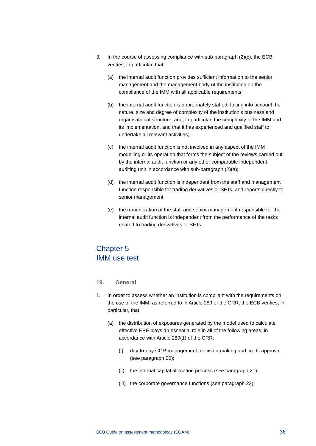- 3. In the course of assessing compliance with sub-paragraph (2)(c), the ECB verifies, in particular, that:
	- (a) the internal audit function provides sufficient information to the senior management and the management body of the institution on the compliance of the IMM with all applicable requirements;
	- (b) the internal audit function is appropriately staffed, taking into account the nature, size and degree of complexity of the institution's business and organisational structure, and, in particular, the complexity of the IMM and its implementation, and that it has experienced and qualified staff to undertake all relevant activities;
	- (c) the internal audit function is not involved in any aspect of the IMM modelling or its operation that forms the subject of the reviews carried out by the internal audit function or any other comparable independent auditing unit in accordance with sub-paragraph (2)(a);
	- (d) the internal audit function is independent from the staff and management function responsible for trading derivatives or SFTs, and reports directly to senior management;
	- (e) the remuneration of the staff and senior management responsible for the internal audit function is independent from the performance of the tasks related to trading derivatives or SFTs.

# Chapter 5 IMM use test

## **19. General**

- 1. In order to assess whether an institution is compliant with the requirements on the use of the IMM, as referred to in Article 289 of the CRR, the ECB verifies, in particular, that:
	- (a) the distribution of exposures generated by the model used to calculate effective EPE plays an essential role in all of the following areas, in accordance with Article 289(1) of the CRR:
		- (i) day-to-day CCR management, decision-making and credit approval (see paragraph 20);
		- (ii) the internal capital allocation process (see paragraph 21);
		- (iii) the corporate governance functions (see paragraph 22);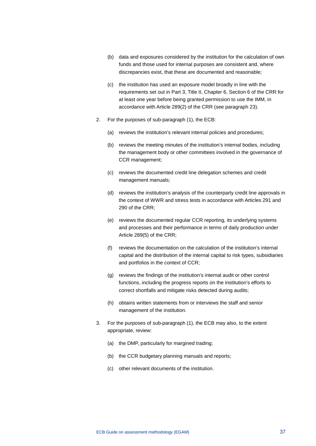- (b) data and exposures considered by the institution for the calculation of own funds and those used for internal purposes are consistent and, where discrepancies exist, that these are documented and reasonable;
- (c) the institution has used an exposure model broadly in line with the requirements set out in Part 3, Title II, Chapter 6, Section 6 of the CRR for at least one year before being granted permission to use the IMM, in accordance with Article 289(2) of the CRR (see paragraph 23).
- 2. For the purposes of sub-paragraph (1), the ECB:
	- (a) reviews the institution's relevant internal policies and procedures;
	- (b) reviews the meeting minutes of the institution's internal bodies, including the management body or other committees involved in the governance of CCR management;
	- (c) reviews the documented credit line delegation schemes and credit management manuals;
	- (d) reviews the institution's analysis of the counterparty credit line approvals in the context of WWR and stress tests in accordance with Articles 291 and 290 of the CRR;
	- (e) reviews the documented regular CCR reporting, its underlying systems and processes and their performance in terms of daily production under Article 289(5) of the CRR;
	- (f) reviews the documentation on the calculation of the institution's internal capital and the distribution of the internal capital to risk types, subsidiaries and portfolios in the context of CCR;
	- (g) reviews the findings of the institution's internal audit or other control functions, including the progress reports on the institution's efforts to correct shortfalls and mitigate risks detected during audits;
	- (h) obtains written statements from or interviews the staff and senior management of the institution.
- 3. For the purposes of sub-paragraph (1), the ECB may also, to the extent appropriate, review:
	- (a) the DMP, particularly for margined trading;
	- (b) the CCR budgetary planning manuals and reports;
	- (c) other relevant documents of the institution.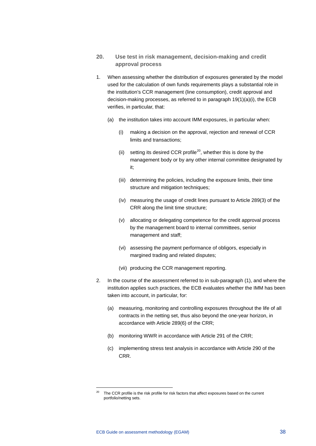- **20. Use test in risk management, decision-making and credit approval process**
- 1. When assessing whether the distribution of exposures generated by the model used for the calculation of own funds requirements plays a substantial role in the institution's CCR management (line consumption), credit approval and decision-making processes, as referred to in paragraph 19(1)(a)(i), the ECB verifies, in particular, that:
	- (a) the institution takes into account IMM exposures, in particular when:
		- (i) making a decision on the approval, rejection and renewal of CCR limits and transactions;
		- (ii) setting its desired CCR profile<sup>[20](#page-38-0)</sup>, whether this is done by the management body or by any other internal committee designated by it;
		- (iii) determining the policies, including the exposure limits, their time structure and mitigation techniques;
		- (iv) measuring the usage of credit lines pursuant to Article 289(3) of the CRR along the limit time structure;
		- (v) allocating or delegating competence for the credit approval process by the management board to internal committees, senior management and staff;
		- (vi) assessing the payment performance of obligors, especially in margined trading and related disputes;
		- (vii) producing the CCR management reporting.
- 2. In the course of the assessment referred to in sub-paragraph (1), and where the institution applies such practices, the ECB evaluates whether the IMM has been taken into account, in particular, for:
	- (a) measuring, monitoring and controlling exposures throughout the life of all contracts in the netting set, thus also beyond the one-year horizon, in accordance with Article 289(6) of the CRR;
	- (b) monitoring WWR in accordance with Article 291 of the CRR;
	- (c) implementing stress test analysis in accordance with Article 290 of the CRR.

<span id="page-38-0"></span>The CCR profile is the risk profile for risk factors that affect exposures based on the current portfolio/netting sets.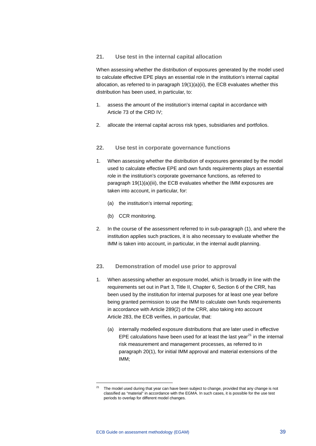## **21. Use test in the internal capital allocation**

When assessing whether the distribution of exposures generated by the model used to calculate effective EPE plays an essential role in the institution's internal capital allocation, as referred to in paragraph 19(1)(a)(ii), the ECB evaluates whether this distribution has been used, in particular, to:

- 1. assess the amount of the institution's internal capital in accordance with Article 73 of the CRD IV;
- 2. allocate the internal capital across risk types, subsidiaries and portfolios.

## **22. Use test in corporate governance functions**

- 1. When assessing whether the distribution of exposures generated by the model used to calculate effective EPE and own funds requirements plays an essential role in the institution's corporate governance functions, as referred to paragraph 19(1)(a)(iii), the ECB evaluates whether the IMM exposures are taken into account, in particular, for:
	- (a) the institution's internal reporting;
	- (b) CCR monitoring.
- 2. In the course of the assessment referred to in sub-paragraph (1), and where the institution applies such practices, it is also necessary to evaluate whether the IMM is taken into account, in particular, in the internal audit planning.

#### **23. Demonstration of model use prior to approval**

- 1. When assessing whether an exposure model, which is broadly in line with the requirements set out in Part 3, Title II, Chapter 6, Section 6 of the CRR, has been used by the institution for internal purposes for at least one year before being granted permission to use the IMM to calculate own funds requirements in accordance with Article 289(2) of the CRR, also taking into account Article 283, the ECB verifies, in particular, that:
	- (a) internally modelled exposure distributions that are later used in effective EPE calculations have been used for at least the last vear $^{21}$  $^{21}$  $^{21}$  in the internal risk measurement and management processes, as referred to in paragraph 20(1), for initial IMM approval and material extensions of the IMM;

<span id="page-39-0"></span><sup>&</sup>lt;sup>21</sup> The model used during that year can have been subject to change, provided that any change is not classified as "material" in accordance with the EGMA. In such cases, it is possible for the use test periods to overlap for different model changes.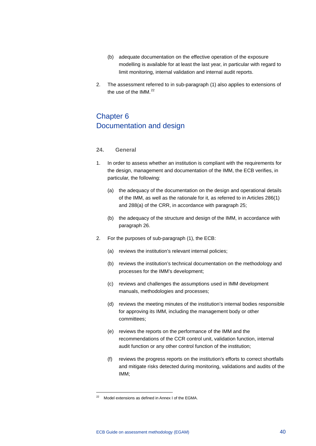- (b) adequate documentation on the effective operation of the exposure modelling is available for at least the last year, in particular with regard to limit monitoring, internal validation and internal audit reports.
- 2. The assessment referred to in sub-paragraph (1) also applies to extensions of the use of the  $IMM.<sup>22</sup>$  $IMM.<sup>22</sup>$  $IMM.<sup>22</sup>$

# Chapter 6 Documentation and design

#### **24. General**

- 1. In order to assess whether an institution is compliant with the requirements for the design, management and documentation of the IMM, the ECB verifies, in particular, the following:
	- (a) the adequacy of the documentation on the design and operational details of the IMM, as well as the rationale for it, as referred to in Articles 286(1) and 288(a) of the CRR, in accordance with paragraph 25;
	- (b) the adequacy of the structure and design of the IMM, in accordance with paragraph 26.
- 2. For the purposes of sub-paragraph (1), the ECB:
	- (a) reviews the institution's relevant internal policies;
	- (b) reviews the institution's technical documentation on the methodology and processes for the IMM's development;
	- (c) reviews and challenges the assumptions used in IMM development manuals, methodologies and processes;
	- (d) reviews the meeting minutes of the institution's internal bodies responsible for approving its IMM, including the management body or other committees;
	- (e) reviews the reports on the performance of the IMM and the recommendations of the CCR control unit, validation function, internal audit function or any other control function of the institution;
	- (f) reviews the progress reports on the institution's efforts to correct shortfalls and mitigate risks detected during monitoring, validations and audits of the IMM;

<span id="page-40-0"></span>Model extensions as defined in Annex I of the EGMA.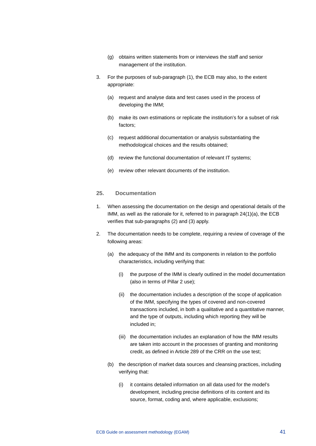- (g) obtains written statements from or interviews the staff and senior management of the institution.
- 3. For the purposes of sub-paragraph (1), the ECB may also, to the extent appropriate:
	- (a) request and analyse data and test cases used in the process of developing the IMM;
	- (b) make its own estimations or replicate the institution's for a subset of risk factors;
	- (c) request additional documentation or analysis substantiating the methodological choices and the results obtained;
	- (d) review the functional documentation of relevant IT systems;
	- (e) review other relevant documents of the institution.

#### **25. Documentation**

- 1. When assessing the documentation on the design and operational details of the IMM, as well as the rationale for it, referred to in paragraph 24(1)(a), the ECB verifies that sub-paragraphs (2) and (3) apply.
- 2. The documentation needs to be complete, requiring a review of coverage of the following areas:
	- (a) the adequacy of the IMM and its components in relation to the portfolio characteristics, including verifying that:
		- (i) the purpose of the IMM is clearly outlined in the model documentation (also in terms of Pillar 2 use);
		- (ii) the documentation includes a description of the scope of application of the IMM, specifying the types of covered and non-covered transactions included, in both a qualitative and a quantitative manner, and the type of outputs, including which reporting they will be included in;
		- (iii) the documentation includes an explanation of how the IMM results are taken into account in the processes of granting and monitoring credit, as defined in Article 289 of the CRR on the use test;
	- (b) the description of market data sources and cleansing practices, including verifying that:
		- (i) it contains detailed information on all data used for the model's development, including precise definitions of its content and its source, format, coding and, where applicable, exclusions;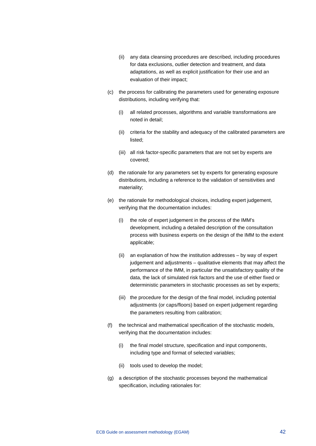- (ii) any data cleansing procedures are described, including procedures for data exclusions, outlier detection and treatment, and data adaptations, as well as explicit justification for their use and an evaluation of their impact;
- (c) the process for calibrating the parameters used for generating exposure distributions, including verifying that:
	- (i) all related processes, algorithms and variable transformations are noted in detail;
	- (ii) criteria for the stability and adequacy of the calibrated parameters are listed;
	- (iii) all risk factor-specific parameters that are not set by experts are covered;
- (d) the rationale for any parameters set by experts for generating exposure distributions, including a reference to the validation of sensitivities and materiality;
- (e) the rationale for methodological choices, including expert judgement, verifying that the documentation includes:
	- (i) the role of expert judgement in the process of the IMM's development, including a detailed description of the consultation process with business experts on the design of the IMM to the extent applicable;
	- (ii) an explanation of how the institution addresses by way of expert judgement and adjustments – qualitative elements that may affect the performance of the IMM, in particular the unsatisfactory quality of the data, the lack of simulated risk factors and the use of either fixed or deterministic parameters in stochastic processes as set by experts;
	- (iii) the procedure for the design of the final model, including potential adjustments (or caps/floors) based on expert judgement regarding the parameters resulting from calibration;
- (f) the technical and mathematical specification of the stochastic models, verifying that the documentation includes:
	- (i) the final model structure, specification and input components, including type and format of selected variables;
	- (ii) tools used to develop the model;
- (g) a description of the stochastic processes beyond the mathematical specification, including rationales for: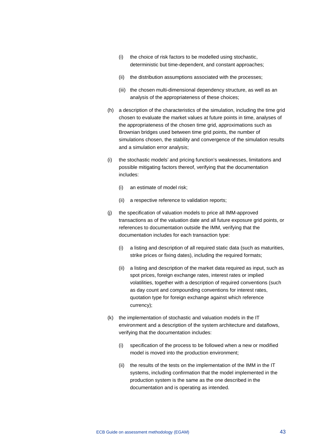- (i) the choice of risk factors to be modelled using stochastic, deterministic but time-dependent, and constant approaches;
- (ii) the distribution assumptions associated with the processes;
- (iii) the chosen multi-dimensional dependency structure, as well as an analysis of the appropriateness of these choices;
- (h) a description of the characteristics of the simulation, including the time grid chosen to evaluate the market values at future points in time, analyses of the appropriateness of the chosen time grid, approximations such as Brownian bridges used between time grid points, the number of simulations chosen, the stability and convergence of the simulation results and a simulation error analysis;
- (i) the stochastic models' and pricing function's weaknesses, limitations and possible mitigating factors thereof, verifying that the documentation includes:
	- (i) an estimate of model risk;
	- (ii) a respective reference to validation reports;
- (j) the specification of valuation models to price all IMM-approved transactions as of the valuation date and all future exposure grid points, or references to documentation outside the IMM, verifying that the documentation includes for each transaction type:
	- (i) a listing and description of all required static data (such as maturities, strike prices or fixing dates), including the required formats;
	- (ii) a listing and description of the market data required as input, such as spot prices, foreign exchange rates, interest rates or implied volatilities, together with a description of required conventions (such as day count and compounding conventions for interest rates, quotation type for foreign exchange against which reference currency);
- (k) the implementation of stochastic and valuation models in the IT environment and a description of the system architecture and dataflows, verifying that the documentation includes:
	- (i) specification of the process to be followed when a new or modified model is moved into the production environment;
	- (ii) the results of the tests on the implementation of the IMM in the IT systems, including confirmation that the model implemented in the production system is the same as the one described in the documentation and is operating as intended.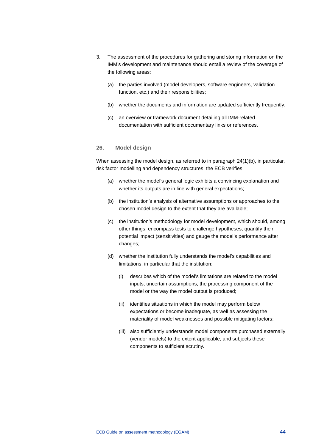- 3. The assessment of the procedures for gathering and storing information on the IMM's development and maintenance should entail a review of the coverage of the following areas:
	- (a) the parties involved (model developers, software engineers, validation function, etc.) and their responsibilities:
	- (b) whether the documents and information are updated sufficiently frequently;
	- (c) an overview or framework document detailing all IMM-related documentation with sufficient documentary links or references.

#### **26. Model design**

When assessing the model design, as referred to in paragraph 24(1)(b), in particular, risk factor modelling and dependency structures, the ECB verifies:

- (a) whether the model's general logic exhibits a convincing explanation and whether its outputs are in line with general expectations;
- (b) the institution's analysis of alternative assumptions or approaches to the chosen model design to the extent that they are available;
- (c) the institution's methodology for model development, which should, among other things, encompass tests to challenge hypotheses, quantify their potential impact (sensitivities) and gauge the model's performance after changes;
- (d) whether the institution fully understands the model's capabilities and limitations, in particular that the institution:
	- (i) describes which of the model's limitations are related to the model inputs, uncertain assumptions, the processing component of the model or the way the model output is produced;
	- (ii) identifies situations in which the model may perform below expectations or become inadequate, as well as assessing the materiality of model weaknesses and possible mitigating factors;
	- (iii) also sufficiently understands model components purchased externally (vendor models) to the extent applicable, and subjects these components to sufficient scrutiny.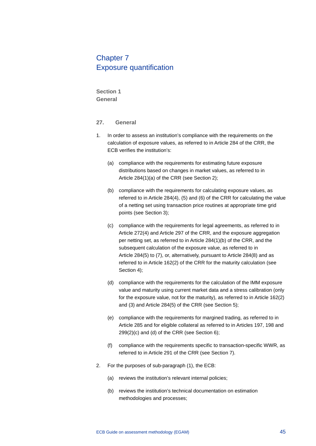## Chapter 7 Exposure quantification

**Section 1 General**

## **27. General**

- 1. In order to assess an institution's compliance with the requirements on the calculation of exposure values, as referred to in Article 284 of the CRR, the ECB verifies the institution's:
	- (a) compliance with the requirements for estimating future exposure distributions based on changes in market values, as referred to in Article 284(1)(a) of the CRR (see Section 2);
	- (b) compliance with the requirements for calculating exposure values, as referred to in Article 284(4), (5) and (6) of the CRR for calculating the value of a netting set using transaction price routines at appropriate time grid points (see Section 3);
	- (c) compliance with the requirements for legal agreements, as referred to in Article 272(4) and Article 297 of the CRR, and the exposure aggregation per netting set, as referred to in Article 284(1)(b) of the CRR, and the subsequent calculation of the exposure value, as referred to in Article 284(5) to (7), or, alternatively, pursuant to Article 284(8) and as referred to in Article 162(2) of the CRR for the maturity calculation (see Section 4);
	- (d) compliance with the requirements for the calculation of the IMM exposure value and maturity using current market data and a stress calibration (only for the exposure value, not for the maturity), as referred to in Article 162(2) and (3) and Article 284(5) of the CRR (see Section 5);
	- (e) compliance with the requirements for margined trading, as referred to in Article 285 and for eligible collateral as referred to in Articles 197, 198 and 299(2)(c) and (d) of the CRR (see Section 6);
	- (f) compliance with the requirements specific to transaction-specific WWR, as referred to in Article 291 of the CRR (see Section 7).
- 2. For the purposes of sub-paragraph (1), the ECB:
	- (a) reviews the institution's relevant internal policies;
	- (b) reviews the institution's technical documentation on estimation methodologies and processes;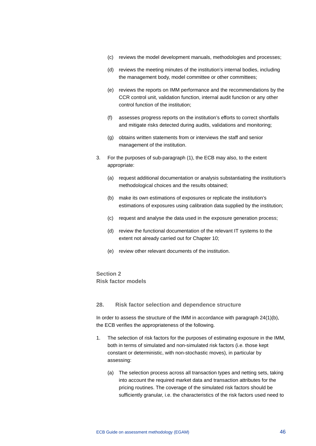- (c) reviews the model development manuals, methodologies and processes;
- (d) reviews the meeting minutes of the institution's internal bodies, including the management body, model committee or other committees;
- (e) reviews the reports on IMM performance and the recommendations by the CCR control unit, validation function, internal audit function or any other control function of the institution;
- (f) assesses progress reports on the institution's efforts to correct shortfalls and mitigate risks detected during audits, validations and monitoring;
- (g) obtains written statements from or interviews the staff and senior management of the institution.
- 3. For the purposes of sub-paragraph (1), the ECB may also, to the extent appropriate:
	- (a) request additional documentation or analysis substantiating the institution's methodological choices and the results obtained;
	- (b) make its own estimations of exposures or replicate the institution's estimations of exposures using calibration data supplied by the institution;
	- (c) request and analyse the data used in the exposure generation process;
	- (d) review the functional documentation of the relevant IT systems to the extent not already carried out for Chapter 10;
	- (e) review other relevant documents of the institution.

## **Section 2 Risk factor models**

#### **28. Risk factor selection and dependence structure**

In order to assess the structure of the IMM in accordance with paragraph  $24(1)(b)$ , the ECB verifies the appropriateness of the following.

- 1. The selection of risk factors for the purposes of estimating exposure in the IMM, both in terms of simulated and non-simulated risk factors (i.e. those kept constant or deterministic, with non-stochastic moves), in particular by assessing:
	- (a) The selection process across all transaction types and netting sets, taking into account the required market data and transaction attributes for the pricing routines. The coverage of the simulated risk factors should be sufficiently granular, i.e. the characteristics of the risk factors used need to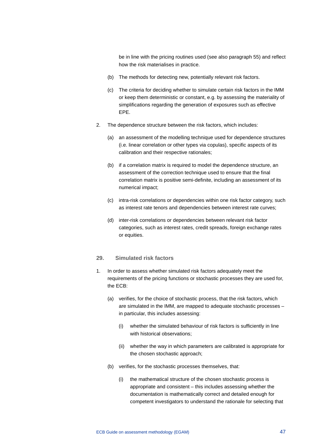be in line with the pricing routines used (see also paragraph 55) and reflect how the risk materialises in practice.

- (b) The methods for detecting new, potentially relevant risk factors.
- (c) The criteria for deciding whether to simulate certain risk factors in the IMM or keep them deterministic or constant, e.g. by assessing the materiality of simplifications regarding the generation of exposures such as effective EPE.
- 2. The dependence structure between the risk factors, which includes:
	- (a) an assessment of the modelling technique used for dependence structures (i.e. linear correlation or other types via copulas), specific aspects of its calibration and their respective rationales;
	- (b) if a correlation matrix is required to model the dependence structure, an assessment of the correction technique used to ensure that the final correlation matrix is positive semi-definite, including an assessment of its numerical impact;
	- (c) intra-risk correlations or dependencies within one risk factor category, such as interest rate tenors and dependencies between interest rate curves;
	- (d) inter-risk correlations or dependencies between relevant risk factor categories, such as interest rates, credit spreads, foreign exchange rates or equities.

## **29. Simulated risk factors**

- 1. In order to assess whether simulated risk factors adequately meet the requirements of the pricing functions or stochastic processes they are used for, the ECB:
	- (a) verifies, for the choice of stochastic process, that the risk factors, which are simulated in the IMM, are mapped to adequate stochastic processes – in particular, this includes assessing:
		- (i) whether the simulated behaviour of risk factors is sufficiently in line with historical observations:
		- (ii) whether the way in which parameters are calibrated is appropriate for the chosen stochastic approach;
	- (b) verifies, for the stochastic processes themselves, that:
		- (i) the mathematical structure of the chosen stochastic process is appropriate and consistent – this includes assessing whether the documentation is mathematically correct and detailed enough for competent investigators to understand the rationale for selecting that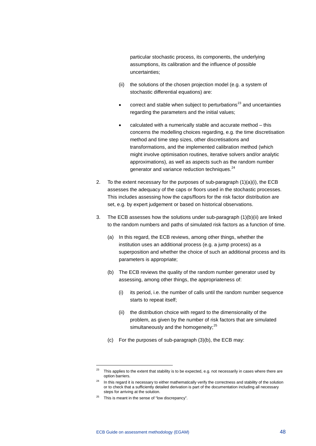particular stochastic process, its components, the underlying assumptions, its calibration and the influence of possible uncertainties;

- (ii) the solutions of the chosen projection model (e.g. a system of stochastic differential equations) are:
- $\frac{1}{2}$  correct and stable when subject to perturbations<sup>[23](#page-48-0)</sup> and uncertainties regarding the parameters and the initial values;
- calculated with a numerically stable and accurate method this concerns the modelling choices regarding, e.g. the time discretisation method and time step sizes, other discretisations and transformations, and the implemented calibration method (which might involve optimisation routines, iterative solvers and/or analytic approximations), as well as aspects such as the random number generator and variance reduction techniques.<sup>[24](#page-48-1)</sup>
- 2. To the extent necessary for the purposes of sub-paragraph (1)(a)(i), the ECB assesses the adequacy of the caps or floors used in the stochastic processes. This includes assessing how the caps/floors for the risk factor distribution are set, e.g. by expert judgement or based on historical observations.
- 3. The ECB assesses how the solutions under sub-paragraph (1)(b)(ii) are linked to the random numbers and paths of simulated risk factors as a function of time.
	- (a) In this regard, the ECB reviews, among other things, whether the institution uses an additional process (e.g. a jump process) as a superposition and whether the choice of such an additional process and its parameters is appropriate;
	- (b) The ECB reviews the quality of the random number generator used by assessing, among other things, the appropriateness of:
		- (i) its period, i.e. the number of calls until the random number sequence starts to repeat itself;
		- (ii) the distribution choice with regard to the dimensionality of the problem, as given by the number of risk factors that are simulated simultaneously and the homogeneity;<sup>[25](#page-48-2)</sup>
	- (c) For the purposes of sub-paragraph (3)(b), the ECB may:

<span id="page-48-0"></span><sup>&</sup>lt;sup>23</sup> This applies to the extent that stability is to be expected, e.g. not necessarily in cases where there are option barriers.

<span id="page-48-1"></span><sup>&</sup>lt;sup>24</sup> In this regard it is necessary to either mathematically verify the correctness and stability of the solution or to check that a sufficiently detailed derivation is part of the documentation including all necessary steps for arriving at the solution.

<span id="page-48-2"></span> $25$  This is meant in the sense of "low discrepancy".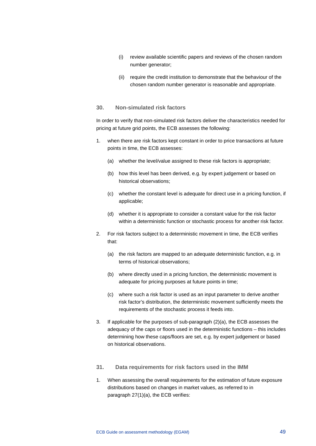- (i) review available scientific papers and reviews of the chosen random number generator;
- (ii) require the credit institution to demonstrate that the behaviour of the chosen random number generator is reasonable and appropriate.

#### **30. Non-simulated risk factors**

In order to verify that non-simulated risk factors deliver the characteristics needed for pricing at future grid points, the ECB assesses the following:

- 1. when there are risk factors kept constant in order to price transactions at future points in time, the ECB assesses:
	- (a) whether the level/value assigned to these risk factors is appropriate;
	- (b) how this level has been derived, e.g. by expert judgement or based on historical observations;
	- (c) whether the constant level is adequate for direct use in a pricing function, if applicable;
	- (d) whether it is appropriate to consider a constant value for the risk factor within a deterministic function or stochastic process for another risk factor.
- 2. For risk factors subject to a deterministic movement in time, the ECB verifies that:
	- (a) the risk factors are mapped to an adequate deterministic function, e.g. in terms of historical observations;
	- (b) where directly used in a pricing function, the deterministic movement is adequate for pricing purposes at future points in time;
	- (c) where such a risk factor is used as an input parameter to derive another risk factor's distribution, the deterministic movement sufficiently meets the requirements of the stochastic process it feeds into.
- 3. If applicable for the purposes of sub-paragraph (2)(a), the ECB assesses the adequacy of the caps or floors used in the deterministic functions – this includes determining how these caps/floors are set, e.g. by expert judgement or based on historical observations.
- **31. Data requirements for risk factors used in the IMM**
- 1. When assessing the overall requirements for the estimation of future exposure distributions based on changes in market values, as referred to in paragraph 27(1)(a), the ECB verifies: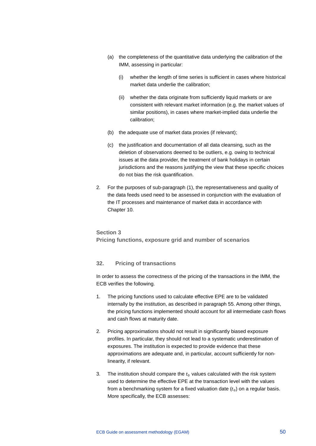- (a) the completeness of the quantitative data underlying the calibration of the IMM, assessing in particular:
	- (i) whether the length of time series is sufficient in cases where historical market data underlie the calibration;
	- (ii) whether the data originate from sufficiently liquid markets or are consistent with relevant market information (e.g. the market values of similar positions), in cases where market-implied data underlie the calibration;
- (b) the adequate use of market data proxies (if relevant);
- (c) the justification and documentation of all data cleansing, such as the deletion of observations deemed to be outliers, e.g. owing to technical issues at the data provider, the treatment of bank holidays in certain jurisdictions and the reasons justifying the view that these specific choices do not bias the risk quantification.
- 2. For the purposes of sub-paragraph (1), the representativeness and quality of the data feeds used need to be assessed in conjunction with the evaluation of the IT processes and maintenance of market data in accordance with Chapter 10.

## **Section 3 Pricing functions, exposure grid and number of scenarios**

## **32. Pricing of transactions**

In order to assess the correctness of the pricing of the transactions in the IMM, the ECB verifies the following.

- 1. The pricing functions used to calculate effective EPE are to be validated internally by the institution, as described in paragraph 55. Among other things, the pricing functions implemented should account for all intermediate cash flows and cash flows at maturity date.
- 2. Pricing approximations should not result in significantly biased exposure profiles. In particular, they should not lead to a systematic underestimation of exposures. The institution is expected to provide evidence that these approximations are adequate and, in particular, account sufficiently for nonlinearity, if relevant.
- 3. The institution should compare the  $t_0$  values calculated with the risk system used to determine the effective EPE at the transaction level with the values from a benchmarking system for a fixed valuation date  $(t<sub>0</sub>)$  on a regular basis. More specifically, the ECB assesses: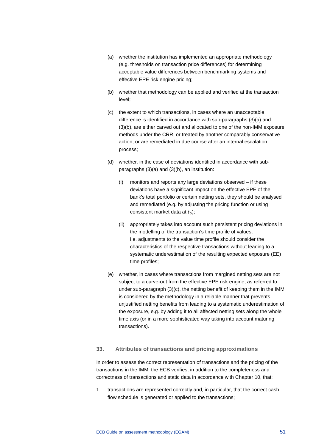- (a) whether the institution has implemented an appropriate methodology (e.g. thresholds on transaction price differences) for determining acceptable value differences between benchmarking systems and effective EPE risk engine pricing;
- (b) whether that methodology can be applied and verified at the transaction level;
- (c) the extent to which transactions, in cases where an unacceptable difference is identified in accordance with sub-paragraphs (3)(a) and (3)(b), are either carved out and allocated to one of the non-IMM exposure methods under the CRR, or treated by another comparably conservative action, or are remediated in due course after an internal escalation process;
- (d) whether, in the case of deviations identified in accordance with subparagraphs (3)(a) and (3)(b), an institution:
	- (i) monitors and reports any large deviations observed if these deviations have a significant impact on the effective EPE of the bank's total portfolio or certain netting sets, they should be analysed and remediated (e.g. by adjusting the pricing function or using consistent market data at  $t_0$ );
	- (ii) appropriately takes into account such persistent pricing deviations in the modelling of the transaction's time profile of values, i.e. adjustments to the value time profile should consider the characteristics of the respective transactions without leading to a systematic underestimation of the resulting expected exposure (EE) time profiles;
- (e) whether, in cases where transactions from margined netting sets are not subject to a carve-out from the effective EPE risk engine, as referred to under sub-paragraph (3)(c), the netting benefit of keeping them in the IMM is considered by the methodology in a reliable manner that prevents unjustified netting benefits from leading to a systematic underestimation of the exposure, e.g. by adding it to all affected netting sets along the whole time axis (or in a more sophisticated way taking into account maturing transactions).

#### **33. Attributes of transactions and pricing approximations**

In order to assess the correct representation of transactions and the pricing of the transactions in the IMM, the ECB verifies, in addition to the completeness and correctness of transactions and static data in accordance with Chapter 10, that:

1. transactions are represented correctly and, in particular, that the correct cash flow schedule is generated or applied to the transactions;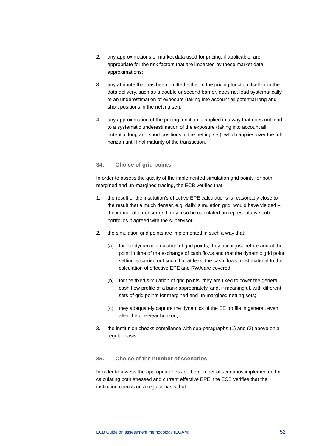- 2. any approximations of market data used for pricing, if applicable, are appropriate for the risk factors that are impacted by these market data approximations;
- 3. any attribute that has been omitted either in the pricing function itself or in the data delivery, such as a double or second barrier, does not lead systematically to an underestimation of exposure (taking into account all potential long and short positions in the netting set);
- 4. any approximation of the pricing function is applied in a way that does not lead to a systematic underestimation of the exposure (taking into account all potential long and short positions in the netting set), which applies over the full horizon until final maturity of the transaction.

## **34. Choice of grid points**

In order to assess the quality of the implemented simulation grid points for both margined and un-margined trading, the ECB verifies that:

- 1. the result of the institution's effective EPE calculations is reasonably close to the result that a much denser, e.g. daily, simulation grid, would have yielded – the impact of a denser grid may also be calculated on representative subportfolios if agreed with the supervisor;
- 2. the simulation grid points are implemented in such a way that:
	- (a) for the dynamic simulation of grid points, they occur just before and at the point in time of the exchange of cash flows and that the dynamic grid point setting is carried out such that at least the cash flows most material to the calculation of effective EPE and RWA are covered;
	- (b) for the fixed simulation of grid points, they are fixed to cover the general cash flow profile of a bank appropriately, and, if meaningful, with different sets of grid points for margined and un-margined netting sets;
	- (c) they adequately capture the dynamics of the EE profile in general, even after the one-year horizon;
- 3. the institution checks compliance with sub-paragraphs (1) and (2) above on a regular basis.

## **35. Choice of the number of scenarios**

In order to assess the appropriateness of the number of scenarios implemented for calculating both stressed and current effective EPE, the ECB verifies that the institution checks on a regular basis that: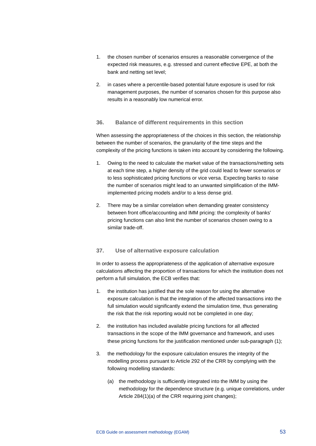- 1. the chosen number of scenarios ensures a reasonable convergence of the expected risk measures, e.g. stressed and current effective EPE, at both the bank and netting set level;
- 2. in cases where a percentile-based potential future exposure is used for risk management purposes, the number of scenarios chosen for this purpose also results in a reasonably low numerical error.

#### **36. Balance of different requirements in this section**

When assessing the appropriateness of the choices in this section, the relationship between the number of scenarios, the granularity of the time steps and the complexity of the pricing functions is taken into account by considering the following.

- 1. Owing to the need to calculate the market value of the transactions/netting sets at each time step, a higher density of the grid could lead to fewer scenarios or to less sophisticated pricing functions or vice versa. Expecting banks to raise the number of scenarios might lead to an unwanted simplification of the IMMimplemented pricing models and/or to a less dense grid.
- 2. There may be a similar correlation when demanding greater consistency between front office/accounting and IMM pricing: the complexity of banks' pricing functions can also limit the number of scenarios chosen owing to a similar trade-off.

#### **37. Use of alternative exposure calculation**

In order to assess the appropriateness of the application of alternative exposure calculations affecting the proportion of transactions for which the institution does not perform a full simulation, the ECB verifies that:

- 1. the institution has justified that the sole reason for using the alternative exposure calculation is that the integration of the affected transactions into the full simulation would significantly extend the simulation time, thus generating the risk that the risk reporting would not be completed in one day;
- 2. the institution has included available pricing functions for all affected transactions in the scope of the IMM governance and framework, and uses these pricing functions for the justification mentioned under sub-paragraph (1);
- 3. the methodology for the exposure calculation ensures the integrity of the modelling process pursuant to Article 292 of the CRR by complying with the following modelling standards:
	- (a) the methodology is sufficiently integrated into the IMM by using the methodology for the dependence structure (e.g. unique correlations, under Article 284(1)(a) of the CRR requiring joint changes);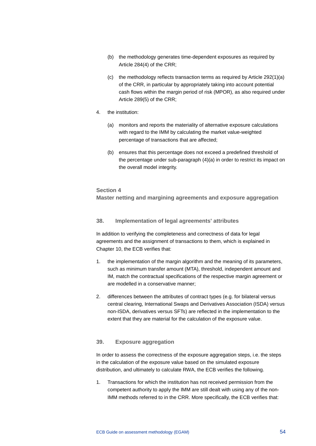- (b) the methodology generates time-dependent exposures as required by Article 284(4) of the CRR;
- (c) the methodology reflects transaction terms as required by Article 292(1)(a) of the CRR, in particular by appropriately taking into account potential cash flows within the margin period of risk (MPOR), as also required under Article 289(5) of the CRR;
- 4. the institution:
	- (a) monitors and reports the materiality of alternative exposure calculations with regard to the IMM by calculating the market value-weighted percentage of transactions that are affected;
	- (b) ensures that this percentage does not exceed a predefined threshold of the percentage under sub-paragraph (4)(a) in order to restrict its impact on the overall model integrity.

#### **Section 4**

**Master netting and margining agreements and exposure aggregation**

## **38. Implementation of legal agreements' attributes**

In addition to verifying the completeness and correctness of data for legal agreements and the assignment of transactions to them, which is explained in Chapter 10, the ECB verifies that:

- 1. the implementation of the margin algorithm and the meaning of its parameters, such as minimum transfer amount (MTA), threshold, independent amount and IM, match the contractual specifications of the respective margin agreement or are modelled in a conservative manner;
- 2. differences between the attributes of contract types (e.g. for bilateral versus central clearing, International Swaps and Derivatives Association (ISDA) versus non-ISDA, derivatives versus SFTs) are reflected in the implementation to the extent that they are material for the calculation of the exposure value.

## **39. Exposure aggregation**

In order to assess the correctness of the exposure aggregation steps, i.e. the steps in the calculation of the exposure value based on the simulated exposure distribution, and ultimately to calculate RWA, the ECB verifies the following.

1. Transactions for which the institution has not received permission from the competent authority to apply the IMM are still dealt with using any of the non-IMM methods referred to in the CRR. More specifically, the ECB verifies that: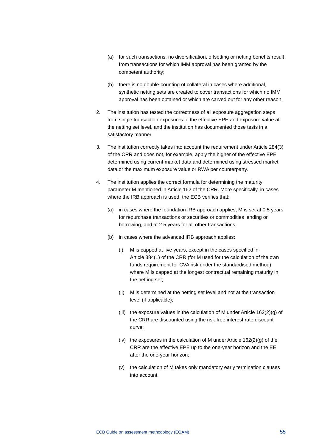- (a) for such transactions, no diversification, offsetting or netting benefits result from transactions for which IMM approval has been granted by the competent authority;
- (b) there is no double-counting of collateral in cases where additional, synthetic netting sets are created to cover transactions for which no IMM approval has been obtained or which are carved out for any other reason.
- 2. The institution has tested the correctness of all exposure aggregation steps from single transaction exposures to the effective EPE and exposure value at the netting set level, and the institution has documented those tests in a satisfactory manner.
- 3. The institution correctly takes into account the requirement under Article 284(3) of the CRR and does not, for example, apply the higher of the effective EPE determined using current market data and determined using stressed market data or the maximum exposure value or RWA per counterparty.
- 4. The institution applies the correct formula for determining the maturity parameter M mentioned in Article 162 of the CRR. More specifically, in cases where the IRB approach is used, the ECB verifies that:
	- (a) in cases where the foundation IRB approach applies, M is set at 0.5 years for repurchase transactions or securities or commodities lending or borrowing, and at 2.5 years for all other transactions;
	- (b) in cases where the advanced IRB approach applies:
		- (i) M is capped at five years, except in the cases specified in Article 384(1) of the CRR (for M used for the calculation of the own funds requirement for CVA risk under the standardised method) where M is capped at the longest contractual remaining maturity in the netting set;
		- (ii) M is determined at the netting set level and not at the transaction level (if applicable);
		- (iii) the exposure values in the calculation of M under Article  $162(2)(q)$  of the CRR are discounted using the risk-free interest rate discount curve;
		- (iv) the exposures in the calculation of M under Article  $162(2)(g)$  of the CRR are the effective EPE up to the one-year horizon and the EE after the one-year horizon;
		- (v) the calculation of M takes only mandatory early termination clauses into account.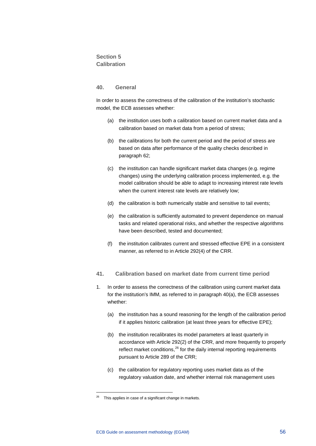## **Section 5 Calibration**

#### **40. General**

In order to assess the correctness of the calibration of the institution's stochastic model, the ECB assesses whether:

- (a) the institution uses both a calibration based on current market data and a calibration based on market data from a period of stress;
- (b) the calibrations for both the current period and the period of stress are based on data after performance of the quality checks described in paragraph 62;
- (c) the institution can handle significant market data changes (e.g. regime changes) using the underlying calibration process implemented, e.g. the model calibration should be able to adapt to increasing interest rate levels when the current interest rate levels are relatively low;
- (d) the calibration is both numerically stable and sensitive to tail events;
- (e) the calibration is sufficiently automated to prevent dependence on manual tasks and related operational risks, and whether the respective algorithms have been described, tested and documented;
- (f) the institution calibrates current and stressed effective EPE in a consistent manner, as referred to in Article 292(4) of the CRR.
- **41. Calibration based on market date from current time period**
- 1. In order to assess the correctness of the calibration using current market data for the institution's IMM, as referred to in paragraph 40(a), the ECB assesses whether:
	- (a) the institution has a sound reasoning for the length of the calibration period if it applies historic calibration (at least three years for effective EPE);
	- (b) the institution recalibrates its model parameters at least quarterly in accordance with Article 292(2) of the CRR, and more frequently to properly reflect market conditions, $26$  for the daily internal reporting requirements pursuant to Article 289 of the CRR;
	- (c) the calibration for regulatory reporting uses market data as of the regulatory valuation date, and whether internal risk management uses

<span id="page-56-0"></span> $26$  This applies in case of a significant change in markets.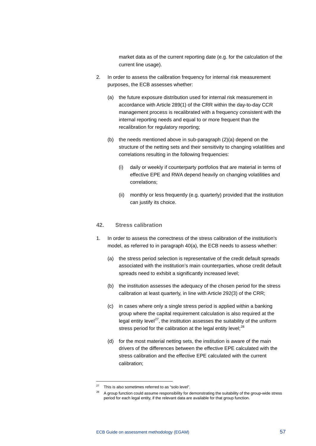market data as of the current reporting date (e.g. for the calculation of the current line usage).

- 2. In order to assess the calibration frequency for internal risk measurement purposes, the ECB assesses whether:
	- (a) the future exposure distribution used for internal risk measurement in accordance with Article 289(1) of the CRR within the day-to-day CCR management process is recalibrated with a frequency consistent with the internal reporting needs and equal to or more frequent than the recalibration for regulatory reporting;
	- (b) the needs mentioned above in sub-paragraph (2)(a) depend on the structure of the netting sets and their sensitivity to changing volatilities and correlations resulting in the following frequencies:
		- (i) daily or weekly if counterparty portfolios that are material in terms of effective EPE and RWA depend heavily on changing volatilities and correlations;
		- (ii) monthly or less frequently (e.g. quarterly) provided that the institution can justify its choice.

## **42. Stress calibration**

- 1. In order to assess the correctness of the stress calibration of the institution's model, as referred to in paragraph 40(a), the ECB needs to assess whether:
	- (a) the stress period selection is representative of the credit default spreads associated with the institution's main counterparties, whose credit default spreads need to exhibit a significantly increased level;
	- (b) the institution assesses the adequacy of the chosen period for the stress calibration at least quarterly, in line with Article 292(3) of the CRR;
	- (c) in cases where only a single stress period is applied within a banking group where the capital requirement calculation is also required at the legal entity level<sup>27</sup>, the institution assesses the suitability of the uniform stress period for the calibration at the legal entity level; $^{28}$  $^{28}$  $^{28}$
	- (d) for the most material netting sets, the institution is aware of the main drivers of the differences between the effective EPE calculated with the stress calibration and the effective EPE calculated with the current calibration;

<span id="page-57-0"></span> $27$  This is also sometimes referred to as "solo level".

<span id="page-57-1"></span><sup>&</sup>lt;sup>28</sup> A group function could assume responsibility for demonstrating the suitability of the group-wide stress period for each legal entity, if the relevant data are available for that group function.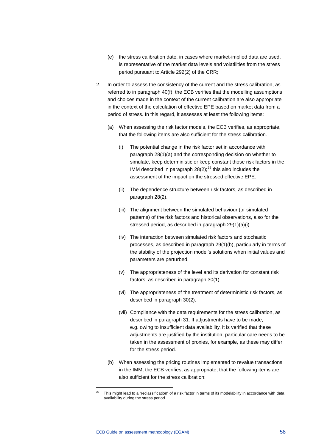- (e) the stress calibration date, in cases where market-implied data are used, is representative of the market data levels and volatilities from the stress period pursuant to Article 292(2) of the CRR;
- 2. In order to assess the consistency of the current and the stress calibration, as referred to in paragraph 40(f), the ECB verifies that the modelling assumptions and choices made in the context of the current calibration are also appropriate in the context of the calculation of effective EPE based on market data from a period of stress. In this regard, it assesses at least the following items:
	- (a) When assessing the risk factor models, the ECB verifies, as appropriate, that the following items are also sufficient for the stress calibration.
		- (i) The potential change in the risk factor set in accordance with paragraph 28(1)(a) and the corresponding decision on whether to simulate, keep deterministic or keep constant those risk factors in the IMM described in paragraph  $28(2)$ ;<sup>[29](#page-58-0)</sup> this also includes the assessment of the impact on the stressed effective EPE.
		- (ii) The dependence structure between risk factors, as described in paragraph 28(2).
		- (iii) The alignment between the simulated behaviour (or simulated patterns) of the risk factors and historical observations, also for the stressed period, as described in paragraph 29(1)(a)(i).
		- (iv) The interaction between simulated risk factors and stochastic processes, as described in paragraph 29(1)(b), particularly in terms of the stability of the projection model's solutions when initial values and parameters are perturbed.
		- (v) The appropriateness of the level and its derivation for constant risk factors, as described in paragraph 30(1).
		- (vi) The appropriateness of the treatment of deterministic risk factors, as described in paragraph 30(2).
		- (vii) Compliance with the data requirements for the stress calibration, as described in paragraph 31. If adjustments have to be made, e.g. owing to insufficient data availability, it is verified that these adjustments are justified by the institution; particular care needs to be taken in the assessment of proxies, for example, as these may differ for the stress period.
	- (b) When assessing the pricing routines implemented to revalue transactions in the IMM, the ECB verifies, as appropriate, that the following items are also sufficient for the stress calibration:

<span id="page-58-0"></span><sup>29</sup> This might lead to a "reclassification" of a risk factor in terms of its modelability in accordance with data availability during the stress period.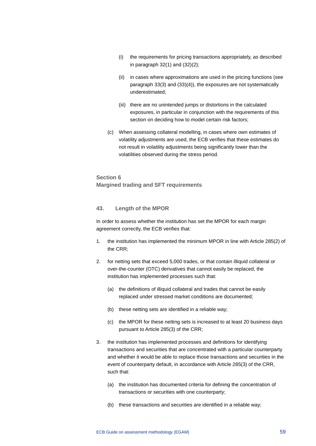- (i) the requirements for pricing transactions appropriately, as described in paragraph 32(1) and (32)(2);
- (ii) in cases where approximations are used in the pricing functions (see paragraph 33(3) and (33)(4)), the exposures are not systematically underestimated;
- (iii) there are no unintended jumps or distortions in the calculated exposures, in particular in conjunction with the requirements of this section on deciding how to model certain risk factors;
- (c) When assessing collateral modelling, in cases where own estimates of volatility adjustments are used, the ECB verifies that these estimates do not result in volatility adjustments being significantly lower than the volatilities observed during the stress period.

**Section 6 Margined trading and SFT requirements**

## **43. Length of the MPOR**

In order to assess whether the institution has set the MPOR for each margin agreement correctly, the ECB verifies that:

- 1. the institution has implemented the minimum MPOR in line with Article 285(2) of the CRR;
- 2. for netting sets that exceed 5,000 trades, or that contain illiquid collateral or over-the-counter (OTC) derivatives that cannot easily be replaced, the institution has implemented processes such that:
	- (a) the definitions of illiquid collateral and trades that cannot be easily replaced under stressed market conditions are documented;
	- (b) these netting sets are identified in a reliable way;
	- (c) the MPOR for these netting sets is increased to at least 20 business days pursuant to Article 285(3) of the CRR;
- 3. the institution has implemented processes and definitions for identifying transactions and securities that are concentrated with a particular counterparty and whether it would be able to replace those transactions and securities in the event of counterparty default, in accordance with Article 285(3) of the CRR, such that:
	- (a) the institution has documented criteria for defining the concentration of transactions or securities with one counterparty;
	- (b) these transactions and securities are identified in a reliable way;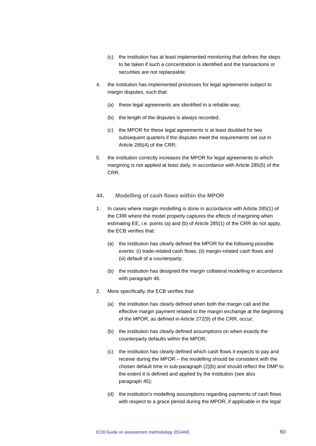- (c) the institution has at least implemented monitoring that defines the steps to be taken if such a concentration is identified and the transactions or securities are not replaceable;
- 4. the institution has implemented processes for legal agreements subject to margin disputes, such that:
	- (a) these legal agreements are identified in a reliable way;
	- (b) the length of the disputes is always recorded;
	- (c) the MPOR for these legal agreements is at least doubled for two subsequent quarters if the disputes meet the requirements set out in Article 285(4) of the CRR;
- 5. the institution correctly increases the MPOR for legal agreements to which margining is not applied at least daily, in accordance with Article 285(5) of the CRR.
- **44. Modelling of cash flows within the MPOR**
- 1. In cases where margin modelling is done in accordance with Article 285(1) of the CRR where the model properly captures the effects of margining when estimating EE, i.e. points (a) and (b) of Article 285(1) of the CRR do not apply, the ECB verifies that:
	- (a) the institution has clearly defined the MPOR for the following possible events: (i) trade-related cash flows, (ii) margin-related cash flows and (iii) default of a counterparty;
	- (b) the institution has designed the margin collateral modelling in accordance with paragraph 46.
- 2. More specifically, the ECB verifies that:
	- (a) the institution has clearly defined when both the margin call and the effective margin payment related to the margin exchange at the beginning of the MPOR, as defined in Article 272(9) of the CRR, occur;
	- (b) the institution has clearly defined assumptions on when exactly the counterparty defaults within the MPOR;
	- (c) the institution has clearly defined which cash flows it expects to pay and receive during the MPOR – the modelling should be consistent with the chosen default time in sub-paragraph (2)(b) and should reflect the DMP to the extent it is defined and applied by the institution (see also paragraph 45);
	- (d) the institution's modelling assumptions regarding payments of cash flows with respect to a grace period during the MPOR, if applicable in the legal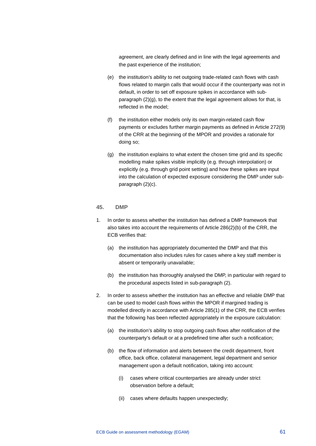agreement, are clearly defined and in line with the legal agreements and the past experience of the institution;

- (e) the institution's ability to net outgoing trade-related cash flows with cash flows related to margin calls that would occur if the counterparty was not in default, in order to set off exposure spikes in accordance with subparagraph (2)(g), to the extent that the legal agreement allows for that, is reflected in the model;
- (f) the institution either models only its own margin-related cash flow payments or excludes further margin payments as defined in Article 272(9) of the CRR at the beginning of the MPOR and provides a rationale for doing so;
- (g) the institution explains to what extent the chosen time grid and its specific modelling make spikes visible implicitly (e.g. through interpolation) or explicitly (e.g. through grid point setting) and how these spikes are input into the calculation of expected exposure considering the DMP under subparagraph (2)(c).

#### **45. DMP**

- 1. In order to assess whether the institution has defined a DMP framework that also takes into account the requirements of Article 286(2)(b) of the CRR, the ECB verifies that:
	- (a) the institution has appropriately documented the DMP and that this documentation also includes rules for cases where a key staff member is absent or temporarily unavailable;
	- (b) the institution has thoroughly analysed the DMP, in particular with regard to the procedural aspects listed in sub-paragraph (2).
- 2. In order to assess whether the institution has an effective and reliable DMP that can be used to model cash flows within the MPOR if margined trading is modelled directly in accordance with Article 285(1) of the CRR, the ECB verifies that the following has been reflected appropriately in the exposure calculation:
	- (a) the institution's ability to stop outgoing cash flows after notification of the counterparty's default or at a predefined time after such a notification;
	- (b) the flow of information and alerts between the credit department, front office, back office, collateral management, legal department and senior management upon a default notification, taking into account:
		- (i) cases where critical counterparties are already under strict observation before a default;
		- (ii) cases where defaults happen unexpectedly;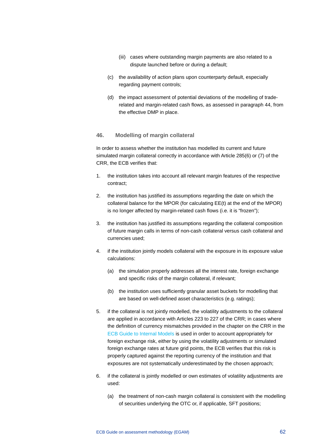- (iii) cases where outstanding margin payments are also related to a dispute launched before or during a default;
- (c) the availability of action plans upon counterparty default, especially regarding payment controls;
- (d) the impact assessment of potential deviations of the modelling of traderelated and margin-related cash flows, as assessed in paragraph 44, from the effective DMP in place.

#### **46. Modelling of margin collateral**

In order to assess whether the institution has modelled its current and future simulated margin collateral correctly in accordance with Article 285(6) or (7) of the CRR, the ECB verifies that:

- 1. the institution takes into account all relevant margin features of the respective contract;
- 2. the institution has justified its assumptions regarding the date on which the collateral balance for the MPOR (for calculating EE(t) at the end of the MPOR) is no longer affected by margin-related cash flows (i.e. it is "frozen");
- 3. the institution has justified its assumptions regarding the collateral composition of future margin calls in terms of non-cash collateral versus cash collateral and currencies used;
- 4. if the institution jointly models collateral with the exposure in its exposure value calculations:
	- (a) the simulation properly addresses all the interest rate, foreign exchange and specific risks of the margin collateral, if relevant;
	- (b) the institution uses sufficiently granular asset buckets for modelling that are based on well-defined asset characteristics (e.g. ratings);
- 5. if the collateral is not jointly modelled, the volatility adjustments to the collateral are applied in accordance with Articles 223 to 227 of the CRR; in cases where the definition of currency mismatches provided in the chapter on the CRR in the [ECB Guide to Internal Models](https://www.bankingsupervision.europa.eu/ecb/pub/pdf/ssm.guidetointernalmodels_consolidated_201910%7E97fd49fb08.en.pdf) is used in order to account appropriately for foreign exchange risk, either by using the volatility adjustments or simulated foreign exchange rates at future grid points, the ECB verifies that this risk is properly captured against the reporting currency of the institution and that exposures are not systematically underestimated by the chosen approach;
- 6. if the collateral is jointly modelled or own estimates of volatility adjustments are used:
	- (a) the treatment of non-cash margin collateral is consistent with the modelling of securities underlying the OTC or, if applicable, SFT positions;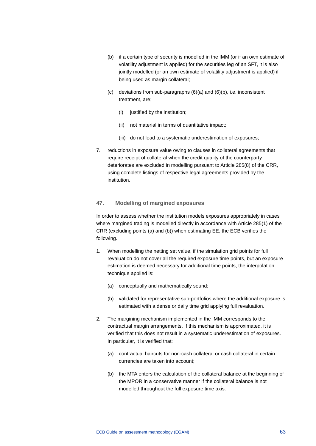- (b) if a certain type of security is modelled in the IMM (or if an own estimate of volatility adjustment is applied) for the securities leg of an SFT, it is also jointly modelled (or an own estimate of volatility adjustment is applied) if being used as margin collateral:
- (c) deviations from sub-paragraphs (6)(a) and (6)(b), i.e. inconsistent treatment, are;
	- (i) justified by the institution;
	- (ii) not material in terms of quantitative impact;
	- (iii) do not lead to a systematic underestimation of exposures;
- 7. reductions in exposure value owing to clauses in collateral agreements that require receipt of collateral when the credit quality of the counterparty deteriorates are excluded in modelling pursuant to Article 285(8) of the CRR, using complete listings of respective legal agreements provided by the institution.

## **47. Modelling of margined exposures**

In order to assess whether the institution models exposures appropriately in cases where margined trading is modelled directly in accordance with Article 285(1) of the CRR (excluding points (a) and (b)) when estimating EE, the ECB verifies the following.

- 1. When modelling the netting set value, if the simulation grid points for full revaluation do not cover all the required exposure time points, but an exposure estimation is deemed necessary for additional time points, the interpolation technique applied is:
	- (a) conceptually and mathematically sound;
	- (b) validated for representative sub-portfolios where the additional exposure is estimated with a dense or daily time grid applying full revaluation.
- 2. The margining mechanism implemented in the IMM corresponds to the contractual margin arrangements. If this mechanism is approximated, it is verified that this does not result in a systematic underestimation of exposures. In particular, it is verified that:
	- (a) contractual haircuts for non-cash collateral or cash collateral in certain currencies are taken into account;
	- (b) the MTA enters the calculation of the collateral balance at the beginning of the MPOR in a conservative manner if the collateral balance is not modelled throughout the full exposure time axis.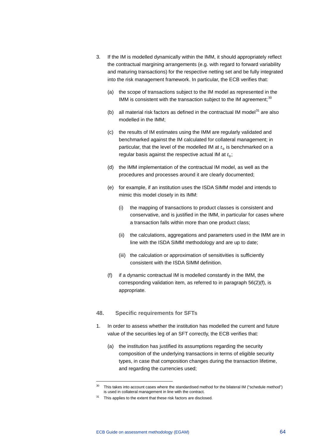- 3. If the IM is modelled dynamically within the IMM, it should appropriately reflect the contractual margining arrangements (e.g. with regard to forward variability and maturing transactions) for the respective netting set and be fully integrated into the risk management framework. In particular, the ECB verifies that:
	- (a) the scope of transactions subject to the IM model as represented in the IMM is consistent with the transaction subject to the IM agreement;  $30$
	- (b) all material risk factors as defined in the contractual IM model $31$  are also modelled in the IMM;
	- (c) the results of IM estimates using the IMM are regularly validated and benchmarked against the IM calculated for collateral management; in particular, that the level of the modelled IM at  $t_0$  is benchmarked on a regular basis against the respective actual IM at  $t_0$ ;
	- (d) the IMM implementation of the contractual IM model, as well as the procedures and processes around it are clearly documented;
	- (e) for example, if an institution uses the ISDA SIMM model and intends to mimic this model closely in its IMM:
		- (i) the mapping of transactions to product classes is consistent and conservative, and is justified in the IMM, in particular for cases where a transaction falls within more than one product class;
		- (ii) the calculations, aggregations and parameters used in the IMM are in line with the ISDA SIMM methodology and are up to date;
		- (iii) the calculation or approximation of sensitivities is sufficiently consistent with the ISDA SIMM definition.
	- (f) if a dynamic contractual IM is modelled constantly in the IMM, the corresponding validation item, as referred to in paragraph 56(2)(f), is appropriate.

## **48. Specific requirements for SFTs**

- 1. In order to assess whether the institution has modelled the current and future value of the securities leg of an SFT correctly, the ECB verifies that:
	- (a) the institution has justified its assumptions regarding the security composition of the underlying transactions in terms of eligible security types, in case that composition changes during the transaction lifetime, and regarding the currencies used;

<span id="page-64-0"></span><sup>&</sup>lt;sup>30</sup> This takes into account cases where the standardised method for the bilateral IM ("schedule method") is used in collateral management in line with the contract.

<span id="page-64-1"></span><sup>&</sup>lt;sup>31</sup> This applies to the extent that these risk factors are disclosed.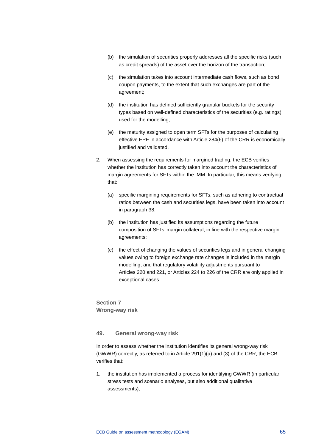- (b) the simulation of securities properly addresses all the specific risks (such as credit spreads) of the asset over the horizon of the transaction;
- (c) the simulation takes into account intermediate cash flows, such as bond coupon payments, to the extent that such exchanges are part of the agreement;
- (d) the institution has defined sufficiently granular buckets for the security types based on well-defined characteristics of the securities (e.g. ratings) used for the modelling;
- (e) the maturity assigned to open term SFTs for the purposes of calculating effective EPE in accordance with Article 284(6) of the CRR is economically justified and validated.
- 2. When assessing the requirements for margined trading, the ECB verifies whether the institution has correctly taken into account the characteristics of margin agreements for SFTs within the IMM. In particular, this means verifying that:
	- (a) specific margining requirements for SFTs, such as adhering to contractual ratios between the cash and securities legs, have been taken into account in paragraph 38;
	- (b) the institution has justified its assumptions regarding the future composition of SFTs' margin collateral, in line with the respective margin agreements;
	- (c) the effect of changing the values of securities legs and in general changing values owing to foreign exchange rate changes is included in the margin modelling, and that regulatory volatility adjustments pursuant to Articles 220 and 221, or Articles 224 to 226 of the CRR are only applied in exceptional cases.

**Section 7 Wrong-way risk**

## **49. General wrong-way risk**

In order to assess whether the institution identifies its general wrong-way risk (GWWR) correctly, as referred to in Article 291(1)(a) and (3) of the CRR, the ECB verifies that:

1. the institution has implemented a process for identifying GWWR (in particular stress tests and scenario analyses, but also additional qualitative assessments);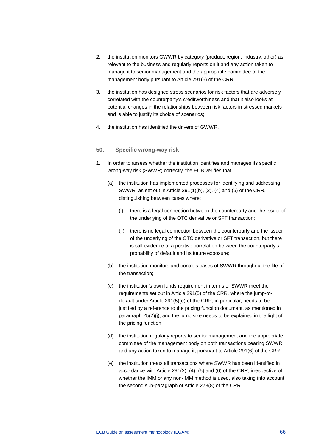- 2. the institution monitors GWWR by category (product, region, industry, other) as relevant to the business and regularly reports on it and any action taken to manage it to senior management and the appropriate committee of the management body pursuant to Article 291(6) of the CRR;
- 3. the institution has designed stress scenarios for risk factors that are adversely correlated with the counterparty's creditworthiness and that it also looks at potential changes in the relationships between risk factors in stressed markets and is able to justify its choice of scenarios:
- 4. the institution has identified the drivers of GWWR.

#### **50. Specific wrong-way risk**

- 1. In order to assess whether the institution identifies and manages its specific wrong-way risk (SWWR) correctly, the ECB verifies that:
	- (a) the institution has implemented processes for identifying and addressing SWWR, as set out in Article 291(1)(b), (2), (4) and (5) of the CRR, distinguishing between cases where:
		- (i) there is a legal connection between the counterparty and the issuer of the underlying of the OTC derivative or SFT transaction;
		- (ii) there is no legal connection between the counterparty and the issuer of the underlying of the OTC derivative or SFT transaction, but there is still evidence of a positive correlation between the counterparty's probability of default and its future exposure;
	- (b) the institution monitors and controls cases of SWWR throughout the life of the transaction;
	- (c) the institution's own funds requirement in terms of SWWR meet the requirements set out in Article 291(5) of the CRR, where the jump-todefault under Article 291(5)(e) of the CRR, in particular, needs to be justified by a reference to the pricing function document, as mentioned in paragraph 25(2)(j), and the jump size needs to be explained in the light of the pricing function;
	- (d) the institution regularly reports to senior management and the appropriate committee of the management body on both transactions bearing SWWR and any action taken to manage it, pursuant to Article 291(6) of the CRR;
	- (e) the institution treats all transactions where SWWR has been identified in accordance with Article 291(2), (4), (5) and (6) of the CRR, irrespective of whether the IMM or any non-IMM method is used, also taking into account the second sub-paragraph of Article 273(8) of the CRR.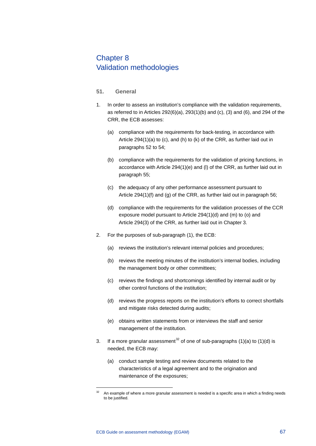# Chapter 8 Validation methodologies

## **51. General**

- 1. In order to assess an institution's compliance with the validation requirements, as referred to in Articles 292(6)(a), 293(1)(b) and (c), (3) and (6), and 294 of the CRR, the ECB assesses:
	- (a) compliance with the requirements for back-testing, in accordance with Article 294(1)(a) to (c), and (h) to (k) of the CRR, as further laid out in paragraphs 52 to 54;
	- (b) compliance with the requirements for the validation of pricing functions, in accordance with Article 294(1)(e) and (l) of the CRR, as further laid out in paragraph 55;
	- (c) the adequacy of any other performance assessment pursuant to Article 294(1)(f) and (g) of the CRR, as further laid out in paragraph 56;
	- (d) compliance with the requirements for the validation processes of the CCR exposure model pursuant to Article 294(1)(d) and (m) to (o) and Article 294(3) of the CRR, as further laid out in Chapter 3.
- 2. For the purposes of sub-paragraph (1), the ECB:
	- (a) reviews the institution's relevant internal policies and procedures;
	- (b) reviews the meeting minutes of the institution's internal bodies, including the management body or other committees;
	- (c) reviews the findings and shortcomings identified by internal audit or by other control functions of the institution;
	- (d) reviews the progress reports on the institution's efforts to correct shortfalls and mitigate risks detected during audits;
	- (e) obtains written statements from or interviews the staff and senior management of the institution.
- 3. If a more granular assessment<sup>[32](#page-67-0)</sup> of one of sub-paragraphs (1)(a) to (1)(d) is needed, the ECB may:
	- (a) conduct sample testing and review documents related to the characteristics of a legal agreement and to the origination and maintenance of the exposures;

<span id="page-67-0"></span>An example of where a more granular assessment is needed is a specific area in which a finding needs to be justified.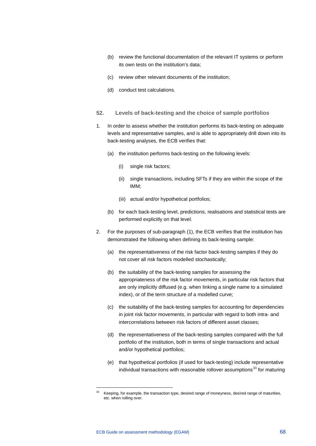- (b) review the functional documentation of the relevant IT systems or perform its own tests on the institution's data;
- (c) review other relevant documents of the institution;
- (d) conduct test calculations.
- **52. Levels of back-testing and the choice of sample portfolios**
- 1. In order to assess whether the institution performs its back-testing on adequate levels and representative samples, and is able to appropriately drill down into its back-testing analyses, the ECB verifies that:
	- (a) the institution performs back-testing on the following levels:
		- (i) single risk factors;
		- (ii) single transactions, including SFTs if they are within the scope of the IMM;
		- (iii) actual and/or hypothetical portfolios;
	- (b) for each back-testing level, predictions, realisations and statistical tests are performed explicitly on that level.
- 2. For the purposes of sub-paragraph (1), the ECB verifies that the institution has demonstrated the following when defining its back-testing sample:
	- (a) the representativeness of the risk factor back-testing samples if they do not cover all risk factors modelled stochastically;
	- (b) the suitability of the back-testing samples for assessing the appropriateness of the risk factor movements, in particular risk factors that are only implicitly diffused (e.g. when linking a single name to a simulated index), or of the term structure of a modelled curve;
	- (c) the suitability of the back-testing samples for accounting for dependencies in joint risk factor movements, in particular with regard to both intra- and intercorrelations between risk factors of different asset classes;
	- (d) the representativeness of the back-testing samples compared with the full portfolio of the institution, both in terms of single transactions and actual and/or hypothetical portfolios;
	- (e) that hypothetical portfolios (if used for back-testing) include representative individual transactions with reasonable rollover assumptions $^{33}$  $^{33}$  $^{33}$  for maturing

<span id="page-68-0"></span><sup>33</sup> Keeping, for example, the transaction type, desired range of moneyness, desired range of maturities, etc. when rolling over.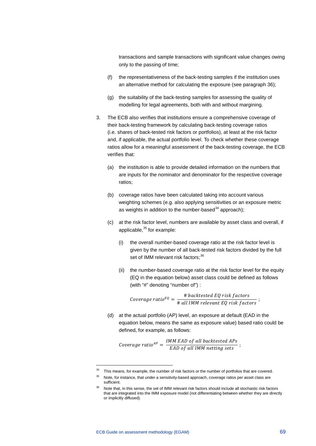transactions and sample transactions with significant value changes owing only to the passing of time;

- (f) the representativeness of the back-testing samples if the institution uses an alternative method for calculating the exposure (see paragraph 36);
- (g) the suitability of the back-testing samples for assessing the quality of modelling for legal agreements, both with and without margining.
- 3. The ECB also verifies that institutions ensure a comprehensive coverage of their back-testing framework by calculating back-testing coverage ratios (i.e. shares of back-tested risk factors or portfolios), at least at the risk factor and, if applicable, the actual portfolio level. To check whether these coverage ratios allow for a meaningful assessment of the back-testing coverage, the ECB verifies that:
	- (a) the institution is able to provide detailed information on the numbers that are inputs for the nominator and denominator for the respective coverage ratios;
	- (b) coverage ratios have been calculated taking into account various weighting schemes (e.g. also applying sensitivities or an exposure metric as weights in addition to the number-based<sup>[34](#page-69-0)</sup> approach);
	- (c) at the risk factor level, numbers are available by asset class and overall, if applicable, $35$  for example:
		- (i) the overall number-based coverage ratio at the risk factor level is given by the number of all back-tested risk factors divided by the full set of IMM relevant risk factors;<sup>[36](#page-69-2)</sup>
		- (ii) the number-based coverage ratio at the risk factor level for the equity (EQ in the equation below) asset class could be defined as follows (with "#" denoting "number of") :

Coverage ratio<sup>EQ</sup> =  $\frac{\text{\# backtested EQ risk factors}}{\text{\# all IMM relevant EQ risk factors}}$ ;

(d) at the actual portfolio (AP) level, an exposure at default (EAD in the equation below, means the same as exposure value) based ratio could be defined, for example, as follows:

Coverage ratio  $A^P = \frac{IMM EAD \text{ of all backtested APs}}{EAD \text{ of all IMM netting sets}}$ 

<sup>&</sup>lt;sup>34</sup> This means, for example, the number of risk factors or the number of portfolios that are covered.

<span id="page-69-1"></span><span id="page-69-0"></span><sup>&</sup>lt;sup>35</sup> Note, for instance, that under a sensitivity-based approach, coverage ratios per asset class are sufficient.

<span id="page-69-2"></span><sup>&</sup>lt;sup>36</sup> Note that, in this sense, the set of IMM relevant risk factors should include all stochastic risk factors that are integrated into the IMM exposure model (not differentiating between whether they are directly or implicitly diffused).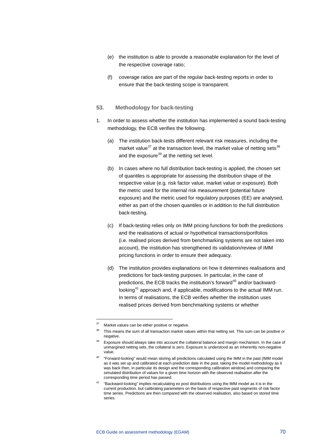- (e) the institution is able to provide a reasonable explanation for the level of the respective coverage ratio;
- (f) coverage ratios are part of the regular back-testing reports in order to ensure that the back-testing scope is transparent.

## **53. Methodology for back-testing**

- 1. In order to assess whether the institution has implemented a sound back-testing methodology, the ECB verifies the following.
	- (a) The institution back-tests different relevant risk measures, including the market value<sup>[37](#page-70-0)</sup> at the transaction level, the market value of netting sets<sup>[38](#page-70-1)</sup> and the exposure<sup>[39](#page-70-2)</sup> at the netting set level.
	- (b) In cases where no full distribution back-testing is applied, the chosen set of quantiles is appropriate for assessing the distribution shape of the respective value (e.g. risk factor value, market value or exposure). Both the metric used for the internal risk measurement (potential future exposure) and the metric used for regulatory purposes (EE) are analysed, either as part of the chosen quantiles or in addition to the full distribution back-testing.
	- (c) If back-testing relies only on IMM pricing functions for both the predictions and the realisations of actual or hypothetical transactions/portfolios (i.e. realised prices derived from benchmarking systems are not taken into account), the institution has strengthened its validation/review of IMM pricing functions in order to ensure their adequacy.
	- (d) The institution provides explanations on how it determines realisations and predictions for back-testing purposes. In particular, in the case of predictions, the ECB tracks the institution's forward<sup>[40](#page-70-3)</sup> and/or backward-looking<sup>[41](#page-70-4)</sup> approach and, if applicable, modifications to the actual IMM run. In terms of realisations, the ECB verifies whether the institution uses realised prices derived from benchmarking systems or whether

<sup>&</sup>lt;sup>37</sup> Market values can be either positive or negative.

<span id="page-70-2"></span><span id="page-70-1"></span><span id="page-70-0"></span><sup>&</sup>lt;sup>38</sup> This means the sum of all transaction market values within that netting set. This sum can be positive or negative.

<sup>&</sup>lt;sup>39</sup> Exposure should always take into account the collateral balance and margin mechanism. In the case of unmargined netting sets, the collateral is zero. Exposure is understood as an inherently non-negative value.

<span id="page-70-3"></span><sup>40</sup> "Forward-looking" would mean storing all predictions calculated using the IMM in the past (IMM model as it was set up and calibrated at each prediction date in the past, taking the model methodology as it was back then, in particular its design and the corresponding calibration window) and comparing the simulated distribution of values for a given time horizon with the observed realisation after the corresponding time period has passed.

<span id="page-70-4"></span><sup>41</sup> "Backward-looking" implies recalculating ex post distributions using the IMM model as it is in the current production, but calibrating parameters on the basis of respective past segments of risk factor time series. Predictions are then compared with the observed realisation, also based on stored time series.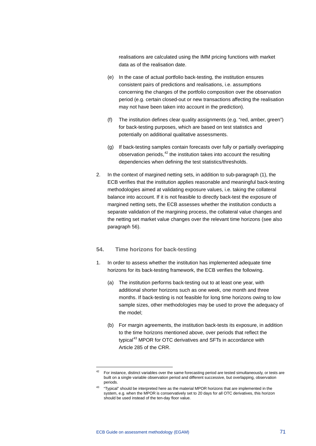realisations are calculated using the IMM pricing functions with market data as of the realisation date.

- (e) In the case of actual portfolio back-testing, the institution ensures consistent pairs of predictions and realisations, i.e. assumptions concerning the changes of the portfolio composition over the observation period (e.g. certain closed-out or new transactions affecting the realisation may not have been taken into account in the prediction).
- (f) The institution defines clear quality assignments (e.g. "red, amber, green") for back-testing purposes, which are based on test statistics and potentially on additional qualitative assessments.
- (g) If back-testing samples contain forecasts over fully or partially overlapping observation periods, $42$  the institution takes into account the resulting dependencies when defining the test statistics/thresholds.
- 2. In the context of margined netting sets, in addition to sub-paragraph (1), the ECB verifies that the institution applies reasonable and meaningful back-testing methodologies aimed at validating exposure values, i.e. taking the collateral balance into account. If it is not feasible to directly back-test the exposure of margined netting sets, the ECB assesses whether the institution conducts a separate validation of the margining process, the collateral value changes and the netting set market value changes over the relevant time horizons (see also paragraph 56).

#### **54. Time horizons for back-testing**

- 1. In order to assess whether the institution has implemented adequate time horizons for its back-testing framework, the ECB verifies the following.
	- (a) The institution performs back-testing out to at least one year, with additional shorter horizons such as one week, one month and three months. If back-testing is not feasible for long time horizons owing to low sample sizes, other methodologies may be used to prove the adequacy of the model;
	- (b) For margin agreements, the institution back-tests its exposure, in addition to the time horizons mentioned above, over periods that reflect the typical<sup>[43](#page-71-1)</sup> MPOR for OTC derivatives and SFTs in accordance with Article 285 of the CRR.

<span id="page-71-1"></span><span id="page-71-0"></span><sup>&</sup>lt;sup>42</sup> For instance, distinct variables over the same forecasting period are tested simultaneously, or tests are built on a single variable observation period and different successive, but overlapping, observation periods.

<sup>43</sup> "Typical" should be interpreted here as the material MPOR horizons that are implemented in the system, e.g. when the MPOR is conservatively set to 20 days for all OTC derivatives, this horizon should be used instead of the ten-day floor value.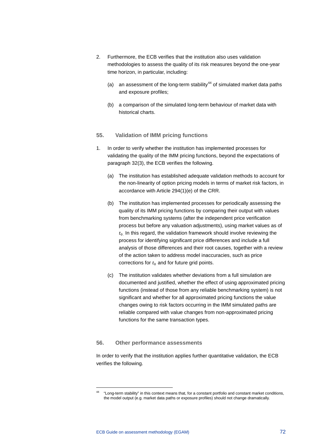- 2. Furthermore, the ECB verifies that the institution also uses validation methodologies to assess the quality of its risk measures beyond the one-year time horizon, in particular, including:
	- (a) an assessment of the long-term stability<sup>[44](#page-72-0)</sup> of simulated market data paths and exposure profiles;
	- (b) a comparison of the simulated long-term behaviour of market data with historical charts.

#### **55. Validation of IMM pricing functions**

- 1. In order to verify whether the institution has implemented processes for validating the quality of the IMM pricing functions, beyond the expectations of paragraph 32(3), the ECB verifies the following.
	- (a) The institution has established adequate validation methods to account for the non-linearity of option pricing models in terms of market risk factors, in accordance with Article 294(1)(e) of the CRR.
	- (b) The institution has implemented processes for periodically assessing the quality of its IMM pricing functions by comparing their output with values from benchmarking systems (after the independent price verification process but before any valuation adjustments), using market values as of  $t<sub>0</sub>$  In this regard, the validation framework should involve reviewing the process for identifying significant price differences and include a full analysis of those differences and their root causes, together with a review of the action taken to address model inaccuracies, such as price corrections for  $t_0$  and for future grid points.
	- (c) The institution validates whether deviations from a full simulation are documented and justified, whether the effect of using approximated pricing functions (instead of those from any reliable benchmarking system) is not significant and whether for all approximated pricing functions the value changes owing to risk factors occurring in the IMM simulated paths are reliable compared with value changes from non-approximated pricing functions for the same transaction types.

#### **56. Other performance assessments**

In order to verify that the institution applies further quantitative validation, the ECB verifies the following.

<span id="page-72-0"></span>-

<sup>44</sup> "Long-term stability" in this context means that, for a constant portfolio and constant market conditions, the model output (e.g. market data paths or exposure profiles) should not change dramatically.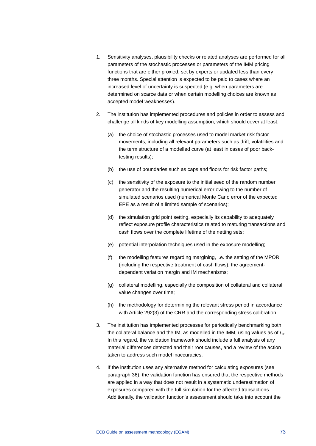- 1. Sensitivity analyses, plausibility checks or related analyses are performed for all parameters of the stochastic processes or parameters of the IMM pricing functions that are either proxied, set by experts or updated less than every three months. Special attention is expected to be paid to cases where an increased level of uncertainty is suspected (e.g. when parameters are determined on scarce data or when certain modelling choices are known as accepted model weaknesses).
- 2. The institution has implemented procedures and policies in order to assess and challenge all kinds of key modelling assumption, which should cover at least:
	- (a) the choice of stochastic processes used to model market risk factor movements, including all relevant parameters such as drift, volatilities and the term structure of a modelled curve (at least in cases of poor backtesting results);
	- (b) the use of boundaries such as caps and floors for risk factor paths;
	- (c) the sensitivity of the exposure to the initial seed of the random number generator and the resulting numerical error owing to the number of simulated scenarios used (numerical Monte Carlo error of the expected EPE as a result of a limited sample of scenarios);
	- (d) the simulation grid point setting, especially its capability to adequately reflect exposure profile characteristics related to maturing transactions and cash flows over the complete lifetime of the netting sets;
	- (e) potential interpolation techniques used in the exposure modelling;
	- (f) the modelling features regarding margining, i.e. the setting of the MPOR (including the respective treatment of cash flows), the agreementdependent variation margin and IM mechanisms;
	- (g) collateral modelling, especially the composition of collateral and collateral value changes over time;
	- (h) the methodology for determining the relevant stress period in accordance with Article 292(3) of the CRR and the corresponding stress calibration.
- 3. The institution has implemented processes for periodically benchmarking both the collateral balance and the IM, as modelled in the IMM, using values as of  $t_0$ . In this regard, the validation framework should include a full analysis of any material differences detected and their root causes, and a review of the action taken to address such model inaccuracies.
- 4. If the institution uses any alternative method for calculating exposures (see paragraph 36), the validation function has ensured that the respective methods are applied in a way that does not result in a systematic underestimation of exposures compared with the full simulation for the affected transactions. Additionally, the validation function's assessment should take into account the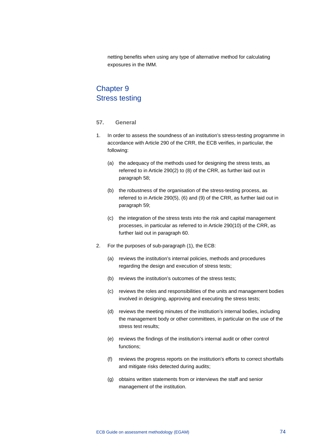netting benefits when using any type of alternative method for calculating exposures in the IMM.

# Chapter 9 Stress testing

## **57. General**

- 1. In order to assess the soundness of an institution's stress-testing programme in accordance with Article 290 of the CRR, the ECB verifies, in particular, the following:
	- (a) the adequacy of the methods used for designing the stress tests, as referred to in Article 290(2) to (8) of the CRR, as further laid out in paragraph 58;
	- (b) the robustness of the organisation of the stress-testing process, as referred to in Article 290(5), (6) and (9) of the CRR, as further laid out in paragraph 59;
	- (c) the integration of the stress tests into the risk and capital management processes, in particular as referred to in Article 290(10) of the CRR, as further laid out in paragraph 60.
- 2. For the purposes of sub-paragraph (1), the ECB:
	- (a) reviews the institution's internal policies, methods and procedures regarding the design and execution of stress tests;
	- (b) reviews the institution's outcomes of the stress tests;
	- (c) reviews the roles and responsibilities of the units and management bodies involved in designing, approving and executing the stress tests;
	- (d) reviews the meeting minutes of the institution's internal bodies, including the management body or other committees, in particular on the use of the stress test results;
	- (e) reviews the findings of the institution's internal audit or other control functions;
	- (f) reviews the progress reports on the institution's efforts to correct shortfalls and mitigate risks detected during audits;
	- (g) obtains written statements from or interviews the staff and senior management of the institution.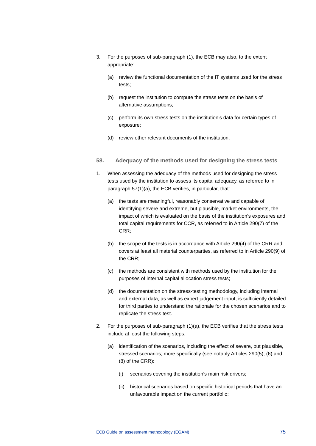- 3. For the purposes of sub-paragraph (1), the ECB may also, to the extent appropriate:
	- (a) review the functional documentation of the IT systems used for the stress tests;
	- (b) request the institution to compute the stress tests on the basis of alternative assumptions;
	- (c) perform its own stress tests on the institution's data for certain types of exposure;
	- (d) review other relevant documents of the institution.
- **58. Adequacy of the methods used for designing the stress tests**
- 1. When assessing the adequacy of the methods used for designing the stress tests used by the institution to assess its capital adequacy, as referred to in paragraph 57(1)(a), the ECB verifies, in particular, that:
	- (a) the tests are meaningful, reasonably conservative and capable of identifying severe and extreme, but plausible, market environments, the impact of which is evaluated on the basis of the institution's exposures and total capital requirements for CCR, as referred to in Article 290(7) of the CRR;
	- (b) the scope of the tests is in accordance with Article 290(4) of the CRR and covers at least all material counterparties, as referred to in Article 290(9) of the CRR;
	- (c) the methods are consistent with methods used by the institution for the purposes of internal capital allocation stress tests;
	- (d) the documentation on the stress-testing methodology, including internal and external data, as well as expert judgement input, is sufficiently detailed for third parties to understand the rationale for the chosen scenarios and to replicate the stress test.
- 2. For the purposes of sub-paragraph (1)(a), the ECB verifies that the stress tests include at least the following steps:
	- (a) identification of the scenarios, including the effect of severe, but plausible, stressed scenarios; more specifically (see notably Articles 290(5), (6) and (8) of the CRR):
		- (i) scenarios covering the institution's main risk drivers;
		- (ii) historical scenarios based on specific historical periods that have an unfavourable impact on the current portfolio;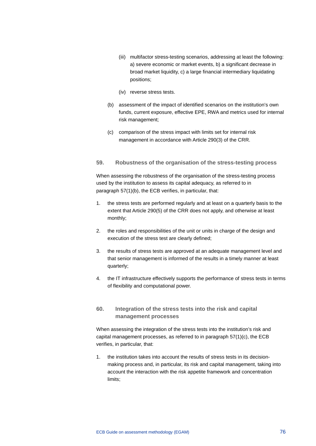- (iii) multifactor stress-testing scenarios, addressing at least the following: a) severe economic or market events, b) a significant decrease in broad market liquidity, c) a large financial intermediary liquidating positions;
- (iv) reverse stress tests.
- (b) assessment of the impact of identified scenarios on the institution's own funds, current exposure, effective EPE, RWA and metrics used for internal risk management;
- (c) comparison of the stress impact with limits set for internal risk management in accordance with Article 290(3) of the CRR.

## **59. Robustness of the organisation of the stress-testing process**

When assessing the robustness of the organisation of the stress-testing process used by the institution to assess its capital adequacy, as referred to in paragraph 57(1)(b), the ECB verifies, in particular, that:

- 1. the stress tests are performed regularly and at least on a quarterly basis to the extent that Article 290(5) of the CRR does not apply, and otherwise at least monthly;
- 2. the roles and responsibilities of the unit or units in charge of the design and execution of the stress test are clearly defined;
- 3. the results of stress tests are approved at an adequate management level and that senior management is informed of the results in a timely manner at least quarterly;
- 4. the IT infrastructure effectively supports the performance of stress tests in terms of flexibility and computational power.

# **60. Integration of the stress tests into the risk and capital management processes**

When assessing the integration of the stress tests into the institution's risk and capital management processes, as referred to in paragraph 57(1)(c), the ECB verifies, in particular, that:

1. the institution takes into account the results of stress tests in its decisionmaking process and, in particular, its risk and capital management, taking into account the interaction with the risk appetite framework and concentration limits;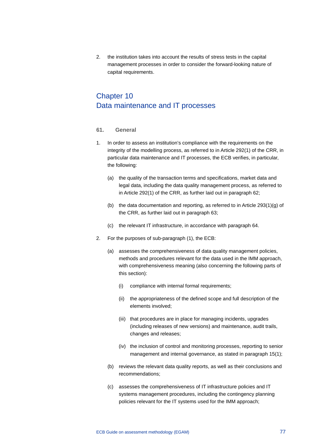2. the institution takes into account the results of stress tests in the capital management processes in order to consider the forward-looking nature of capital requirements.

# Chapter 10 Data maintenance and IT processes

## **61. General**

- 1. In order to assess an institution's compliance with the requirements on the integrity of the modelling process, as referred to in Article 292(1) of the CRR, in particular data maintenance and IT processes, the ECB verifies, in particular, the following:
	- (a) the quality of the transaction terms and specifications, market data and legal data, including the data quality management process, as referred to in Article 292(1) of the CRR, as further laid out in paragraph 62;
	- (b) the data documentation and reporting, as referred to in Article 293(1)(g) of the CRR, as further laid out in paragraph 63;
	- (c) the relevant IT infrastructure, in accordance with paragraph 64.
- 2. For the purposes of sub-paragraph (1), the ECB:
	- (a) assesses the comprehensiveness of data quality management policies, methods and procedures relevant for the data used in the IMM approach, with comprehensiveness meaning (also concerning the following parts of this section):
		- (i) compliance with internal formal requirements;
		- (ii) the appropriateness of the defined scope and full description of the elements involved;
		- (iii) that procedures are in place for managing incidents, upgrades (including releases of new versions) and maintenance, audit trails, changes and releases;
		- (iv) the inclusion of control and monitoring processes, reporting to senior management and internal governance, as stated in paragraph 15(1);
	- (b) reviews the relevant data quality reports, as well as their conclusions and recommendations;
	- (c) assesses the comprehensiveness of IT infrastructure policies and IT systems management procedures, including the contingency planning policies relevant for the IT systems used for the IMM approach;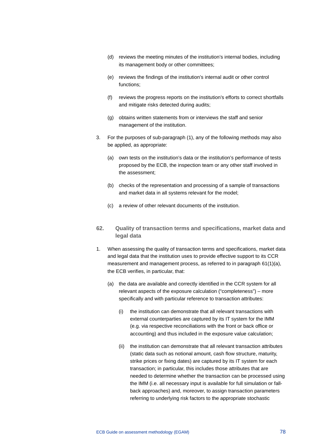- (d) reviews the meeting minutes of the institution's internal bodies, including its management body or other committees;
- (e) reviews the findings of the institution's internal audit or other control functions;
- (f) reviews the progress reports on the institution's efforts to correct shortfalls and mitigate risks detected during audits;
- (g) obtains written statements from or interviews the staff and senior management of the institution.
- 3. For the purposes of sub-paragraph (1), any of the following methods may also be applied, as appropriate:
	- (a) own tests on the institution's data or the institution's performance of tests proposed by the ECB, the inspection team or any other staff involved in the assessment;
	- (b) checks of the representation and processing of a sample of transactions and market data in all systems relevant for the model;
	- (c) a review of other relevant documents of the institution.
- **62. Quality of transaction terms and specifications, market data and legal data**
- 1. When assessing the quality of transaction terms and specifications, market data and legal data that the institution uses to provide effective support to its CCR measurement and management process, as referred to in paragraph 61(1)(a), the ECB verifies, in particular, that:
	- (a) the data are available and correctly identified in the CCR system for all relevant aspects of the exposure calculation ("completeness") – more specifically and with particular reference to transaction attributes:
		- (i) the institution can demonstrate that all relevant transactions with external counterparties are captured by its IT system for the IMM (e.g. via respective reconciliations with the front or back office or accounting) and thus included in the exposure value calculation;
		- (ii) the institution can demonstrate that all relevant transaction attributes (static data such as notional amount, cash flow structure, maturity, strike prices or fixing dates) are captured by its IT system for each transaction; in particular, this includes those attributes that are needed to determine whether the transaction can be processed using the IMM (i.e. all necessary input is available for full simulation or fallback approaches) and, moreover, to assign transaction parameters referring to underlying risk factors to the appropriate stochastic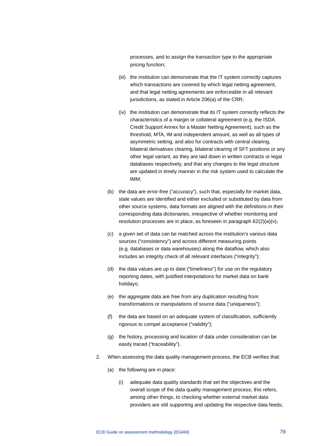processes, and to assign the transaction type to the appropriate pricing function;

- (iii) the institution can demonstrate that the IT system correctly captures which transactions are covered by which legal netting agreement, and that legal netting agreements are enforceable in all relevant jurisdictions, as stated in Article 206(a) of the CRR;
- (iv) the institution can demonstrate that its IT system correctly reflects the characteristics of a margin or collateral agreement (e.g. the ISDA Credit Support Annex for a Master Netting Agreement), such as the threshold, MTA, IM and independent amount, as well as all types of asymmetric setting, and also for contracts with central clearing, bilateral derivatives clearing, bilateral clearing of SFT positions or any other legal variant, as they are laid down in written contracts or legal databases respectively, and that any changes to the legal structure are updated in timely manner in the risk system used to calculate the IMM;
- (b) the data are error-free ("accuracy"), such that, especially for market data, stale values are identified and either excluded or substituted by data from other source systems, data formats are aligned with the definitions in their corresponding data dictionaries, irrespective of whether monitoring and resolution processes are in place, as foreseen in paragraph 62(2)(a)(v);
- (c) a given set of data can be matched across the institution's various data sources ("consistency") and across different measuring points (e.g. databases or data warehouses) along the dataflow, which also includes an integrity check of all relevant interfaces ("integrity");
- (d) the data values are up to date ("timeliness") for use on the regulatory reporting dates, with justified interpolations for market data on bank holidays;
- (e) the aggregate data are free from any duplication resulting from transformations or manipulations of source data ("uniqueness");
- (f) the data are based on an adequate system of classification, sufficiently rigorous to compel acceptance ("validity");
- (g) the history, processing and location of data under consideration can be easily traced ("traceability").
- 2. When assessing the data quality management process, the ECB verifies that:
	- (a) the following are in place:
		- (i) adequate data quality standards that set the objectives and the overall scope of the data quality management process; this refers, among other things, to checking whether external market data providers are still supporting and updating the respective data feeds;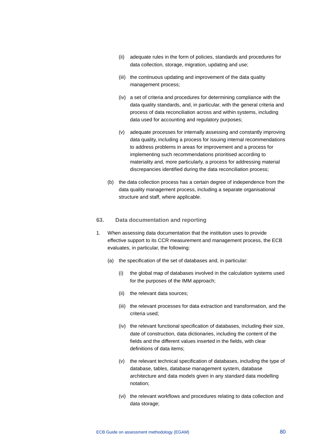- (ii) adequate rules in the form of policies, standards and procedures for data collection, storage, migration, updating and use;
- (iii) the continuous updating and improvement of the data quality management process;
- (iv) a set of criteria and procedures for determining compliance with the data quality standards, and, in particular, with the general criteria and process of data reconciliation across and within systems, including data used for accounting and regulatory purposes;
- (v) adequate processes for internally assessing and constantly improving data quality, including a process for issuing internal recommendations to address problems in areas for improvement and a process for implementing such recommendations prioritised according to materiality and, more particularly, a process for addressing material discrepancies identified during the data reconciliation process;
- (b) the data collection process has a certain degree of independence from the data quality management process, including a separate organisational structure and staff, where applicable.

#### **63. Data documentation and reporting**

- 1. When assessing data documentation that the institution uses to provide effective support to its CCR measurement and management process, the ECB evaluates, in particular, the following:
	- (a) the specification of the set of databases and, in particular:
		- (i) the global map of databases involved in the calculation systems used for the purposes of the IMM approach;
		- (ii) the relevant data sources;
		- (iii) the relevant processes for data extraction and transformation, and the criteria used;
		- (iv) the relevant functional specification of databases, including their size, date of construction, data dictionaries, including the content of the fields and the different values inserted in the fields, with clear definitions of data items;
		- (v) the relevant technical specification of databases, including the type of database, tables, database management system, database architecture and data models given in any standard data modelling notation;
		- (vi) the relevant workflows and procedures relating to data collection and data storage;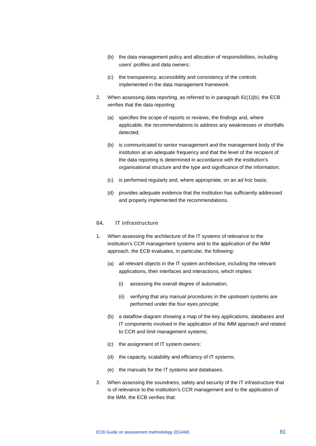- (b) the data management policy and allocation of responsibilities, including users' profiles and data owners;
- (c) the transparency, accessibility and consistency of the controls implemented in the data management framework.
- 2. When assessing data reporting, as referred to in paragraph 61(1)(b), the ECB verifies that the data reporting:
	- (a) specifies the scope of reports or reviews, the findings and, where applicable, the recommendations to address any weaknesses or shortfalls detected;
	- (b) is communicated to senior management and the management body of the institution at an adequate frequency and that the level of the recipient of the data reporting is determined in accordance with the institution's organisational structure and the type and significance of the information;
	- (c) is performed regularly and, where appropriate, on an *ad hoc* basis;
	- (d) provides adequate evidence that the institution has sufficiently addressed and properly implemented the recommendations.

## **64. IT infrastructure**

- 1. When assessing the architecture of the IT systems of relevance to the institution's CCR management systems and to the application of the IMM approach, the ECB evaluates, in particular, the following:
	- (a) all relevant objects in the IT system architecture, including the relevant applications, their interfaces and interactions, which implies:
		- (i) assessing the overall degree of automation;
		- (ii) verifying that any manual procedures in the upstream systems are performed under the four eyes principle;
	- (b) a dataflow diagram showing a map of the key applications, databases and IT components involved in the application of the IMM approach and related to CCR and limit management systems;
	- (c) the assignment of IT system owners;
	- (d) the capacity, scalability and efficiency of IT systems;
	- (e) the manuals for the IT systems and databases.
- 2. When assessing the soundness, safety and security of the IT infrastructure that is of relevance to the institution's CCR management and to the application of the IMM, the ECB verifies that: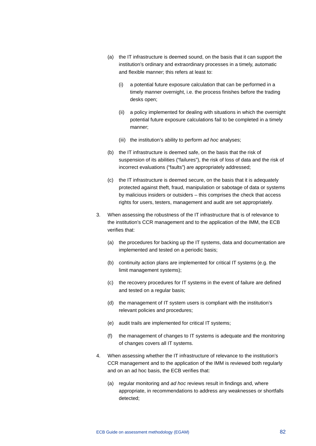- (a) the IT infrastructure is deemed sound, on the basis that it can support the institution's ordinary and extraordinary processes in a timely, automatic and flexible manner; this refers at least to:
	- (i) a potential future exposure calculation that can be performed in a timely manner overnight, i.e. the process finishes before the trading desks open;
	- (ii) a policy implemented for dealing with situations in which the overnight potential future exposure calculations fail to be completed in a timely manner;
	- (iii) the institution's ability to perform *ad hoc* analyses;
- (b) the IT infrastructure is deemed safe, on the basis that the risk of suspension of its abilities ("failures"), the risk of loss of data and the risk of incorrect evaluations ("faults") are appropriately addressed;
- (c) the IT infrastructure is deemed secure, on the basis that it is adequately protected against theft, fraud, manipulation or sabotage of data or systems by malicious insiders or outsiders – this comprises the check that access rights for users, testers, management and audit are set appropriately.
- 3. When assessing the robustness of the IT infrastructure that is of relevance to the institution's CCR management and to the application of the IMM, the ECB verifies that:
	- (a) the procedures for backing up the IT systems, data and documentation are implemented and tested on a periodic basis;
	- (b) continuity action plans are implemented for critical IT systems (e.g. the limit management systems);
	- (c) the recovery procedures for IT systems in the event of failure are defined and tested on a regular basis;
	- (d) the management of IT system users is compliant with the institution's relevant policies and procedures;
	- (e) audit trails are implemented for critical IT systems;
	- (f) the management of changes to IT systems is adequate and the monitoring of changes covers all IT systems.
- 4. When assessing whether the IT infrastructure of relevance to the institution's CCR management and to the application of the IMM is reviewed both regularly and on an ad hoc basis, the ECB verifies that:
	- (a) regular monitoring and *ad hoc* reviews result in findings and, where appropriate, in recommendations to address any weaknesses or shortfalls detected;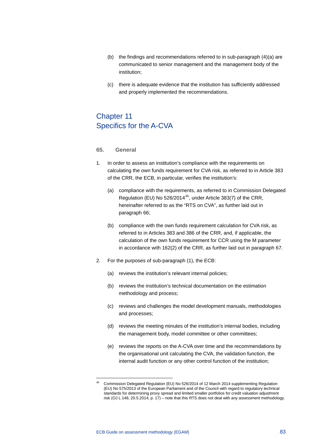- (b) the findings and recommendations referred to in sub-paragraph (4)(a) are communicated to senior management and the management body of the institution;
- (c) there is adequate evidence that the institution has sufficiently addressed and properly implemented the recommendations.

# Chapter 11 Specifics for the A-CVA

#### **65. General**

- 1. In order to assess an institution's compliance with the requirements on calculating the own funds requirement for CVA risk, as referred to in Article 383 of the CRR, the ECB, in particular, verifies the institution's:
	- (a) compliance with the requirements, as referred to in Commission Delegated Regulation (EU) No 526/2014<sup>45</sup>, under Article 383(7) of the CRR, hereinafter referred to as the "RTS on CVA", as further laid out in paragraph 66;
	- (b) compliance with the own funds requirement calculation for CVA risk, as referred to in Articles 383 and 386 of the CRR, and, if applicable, the calculation of the own funds requirement for CCR using the M parameter in accordance with 162(2) of the CRR, as further laid out in paragraph 67.
- 2. For the purposes of sub-paragraph (1), the ECB:
	- (a) reviews the institution's relevant internal policies;
	- (b) reviews the institution's technical documentation on the estimation methodology and process;
	- (c) reviews and challenges the model development manuals, methodologies and processes;
	- (d) reviews the meeting minutes of the institution's internal bodies, including the management body, model committee or other committees;
	- (e) reviews the reports on the A-CVA over time and the recommendations by the organisational unit calculating the CVA, the validation function, the internal audit function or any other control function of the institution;

-

<span id="page-83-0"></span><sup>45</sup> Commission Delegated Regulation (EU) No 526/2014 of 12 March 2014 supplementing Regulation (EU) No 575/2013 of the European Parliament and of the Council with regard to regulatory technical standards for determining proxy spread and limited smaller portfolios for credit valuation adjustment risk (OJ L 148, 20.5.2014, p. 17) – note that this RTS does not deal with any assessment methodology.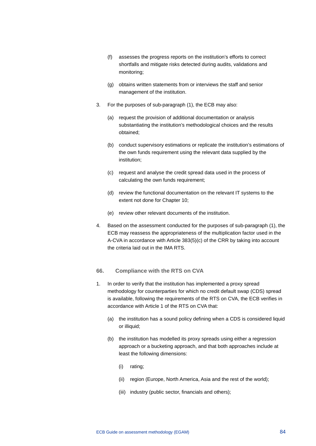- (f) assesses the progress reports on the institution's efforts to correct shortfalls and mitigate risks detected during audits, validations and monitoring;
- (g) obtains written statements from or interviews the staff and senior management of the institution.
- 3. For the purposes of sub-paragraph (1), the ECB may also:
	- (a) request the provision of additional documentation or analysis substantiating the institution's methodological choices and the results obtained;
	- (b) conduct supervisory estimations or replicate the institution's estimations of the own funds requirement using the relevant data supplied by the institution;
	- (c) request and analyse the credit spread data used in the process of calculating the own funds requirement;
	- (d) review the functional documentation on the relevant IT systems to the extent not done for Chapter 10;
	- (e) review other relevant documents of the institution.
- 4. Based on the assessment conducted for the purposes of sub-paragraph (1), the ECB may reassess the appropriateness of the multiplication factor used in the A-CVA in accordance with Article 383(5)(c) of the CRR by taking into account the criteria laid out in the IMA RTS.

# **66. Compliance with the RTS on CVA**

- 1. In order to verify that the institution has implemented a proxy spread methodology for counterparties for which no credit default swap (CDS) spread is available, following the requirements of the RTS on CVA, the ECB verifies in accordance with Article 1 of the RTS on CVA that:
	- (a) the institution has a sound policy defining when a CDS is considered liquid or illiquid;
	- (b) the institution has modelled its proxy spreads using either a regression approach or a bucketing approach, and that both approaches include at least the following dimensions:
		- (i) rating;
		- (ii) region (Europe, North America, Asia and the rest of the world);
		- (iii) industry (public sector, financials and others);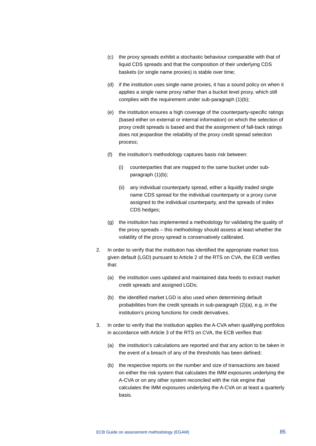- (c) the proxy spreads exhibit a stochastic behaviour comparable with that of liquid CDS spreads and that the composition of their underlying CDS baskets (or single name proxies) is stable over time;
- (d) if the institution uses single name proxies, it has a sound policy on when it applies a single name proxy rather than a bucket level proxy, which still complies with the requirement under sub-paragraph (1)(b);
- (e) the institution ensures a high coverage of the counterparty-specific ratings (based either on external or internal information) on which the selection of proxy credit spreads is based and that the assignment of fall-back ratings does not jeopardise the reliability of the proxy credit spread selection process;
- (f) the institution's methodology captures basis risk between:
	- (i) counterparties that are mapped to the same bucket under subparagraph (1)(b);
	- (ii) any individual counterparty spread, either a liquidly traded single name CDS spread for the individual counterparty or a proxy curve assigned to the individual counterparty, and the spreads of index CDS hedges;
- (g) the institution has implemented a methodology for validating the quality of the proxy spreads – this methodology should assess at least whether the volatility of the proxy spread is conservatively calibrated.
- 2. In order to verify that the institution has identified the appropriate market loss given default (LGD) pursuant to Article 2 of the RTS on CVA, the ECB verifies that:
	- (a) the institution uses updated and maintained data feeds to extract market credit spreads and assigned LGDs;
	- (b) the identified market LGD is also used when determining default probabilities from the credit spreads in sub-paragraph (2)(a), e.g. in the institution's pricing functions for credit derivatives.
- 3. In order to verify that the institution applies the A-CVA when qualifying portfolios in accordance with Article 3 of the RTS on CVA, the ECB verifies that:
	- (a) the institution's calculations are reported and that any action to be taken in the event of a breach of any of the thresholds has been defined;
	- (b) the respective reports on the number and size of transactions are based on either the risk system that calculates the IMM exposures underlying the A-CVA or on any other system reconciled with the risk engine that calculates the IMM exposures underlying the A-CVA on at least a quarterly basis.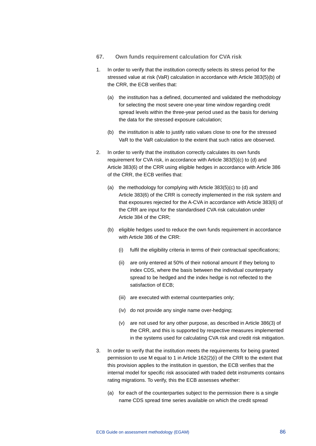- **67. Own funds requirement calculation for CVA risk**
- 1. In order to verify that the institution correctly selects its stress period for the stressed value at risk (VaR) calculation in accordance with Article 383(5)(b) of the CRR, the ECB verifies that:
	- (a) the institution has a defined, documented and validated the methodology for selecting the most severe one-year time window regarding credit spread levels within the three-year period used as the basis for deriving the data for the stressed exposure calculation;
	- (b) the institution is able to justify ratio values close to one for the stressed VaR to the VaR calculation to the extent that such ratios are observed.
- 2. In order to verify that the institution correctly calculates its own funds requirement for CVA risk, in accordance with Article 383(5)(c) to (d) and Article 383(6) of the CRR using eligible hedges in accordance with Article 386 of the CRR, the ECB verifies that:
	- (a) the methodology for complying with Article 383(5)(c) to (d) and Article 383(6) of the CRR is correctly implemented in the risk system and that exposures rejected for the A-CVA in accordance with Article 383(6) of the CRR are input for the standardised CVA risk calculation under Article 384 of the CRR;
	- (b) eligible hedges used to reduce the own funds requirement in accordance with Article 386 of the CRR:
		- (i) fulfil the eligibility criteria in terms of their contractual specifications;
		- (ii) are only entered at 50% of their notional amount if they belong to index CDS, where the basis between the individual counterparty spread to be hedged and the index hedge is not reflected to the satisfaction of ECB;
		- (iii) are executed with external counterparties only;
		- (iv) do not provide any single name over-hedging;
		- (v) are not used for any other purpose, as described in Article 386(3) of the CRR, and this is supported by respective measures implemented in the systems used for calculating CVA risk and credit risk mitigation.
- 3. In order to verify that the institution meets the requirements for being granted permission to use M equal to 1 in Article 162(2)(i) of the CRR to the extent that this provision applies to the institution in question, the ECB verifies that the internal model for specific risk associated with traded debt instruments contains rating migrations. To verify, this the ECB assesses whether:
	- (a) for each of the counterparties subject to the permission there is a single name CDS spread time series available on which the credit spread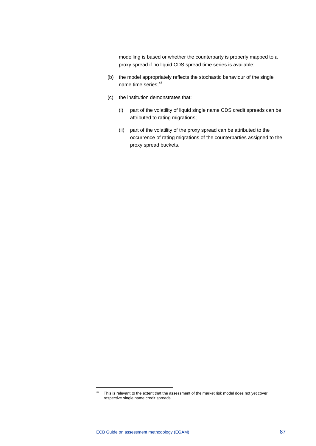modelling is based or whether the counterparty is properly mapped to a proxy spread if no liquid CDS spread time series is available;

- (b) the model appropriately reflects the stochastic behaviour of the single name time series;<sup>[46](#page-87-0)</sup>
- (c) the institution demonstrates that:
	- (i) part of the volatility of liquid single name CDS credit spreads can be attributed to rating migrations;
	- (ii) part of the volatility of the proxy spread can be attributed to the occurrence of rating migrations of the counterparties assigned to the proxy spread buckets.

-

<span id="page-87-0"></span><sup>&</sup>lt;sup>46</sup> This is relevant to the extent that the assessment of the market risk model does not yet cover respective single name credit spreads.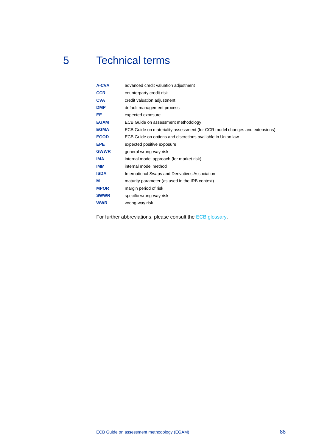# 5 Technical terms

| A-CVA       | advanced credit valuation adjustment                                       |
|-------------|----------------------------------------------------------------------------|
| <b>CCR</b>  | counterparty credit risk                                                   |
| <b>CVA</b>  | credit valuation adjustment                                                |
| <b>DMP</b>  | default management process                                                 |
| EE          | expected exposure                                                          |
| <b>EGAM</b> | ECB Guide on assessment methodology                                        |
| <b>EGMA</b> | ECB Guide on materiality assessment (for CCR model changes and extensions) |
| <b>EGOD</b> | ECB Guide on options and discretions available in Union law                |
| <b>EPE</b>  | expected positive exposure                                                 |
| <b>GWWR</b> | general wrong-way risk                                                     |
| <b>IMA</b>  | internal model approach (for market risk)                                  |
| <b>IMM</b>  | internal model method                                                      |
| <b>ISDA</b> | International Swaps and Derivatives Association                            |
| м           | maturity parameter (as used in the IRB context)                            |
| <b>MPOR</b> | margin period of risk                                                      |
| <b>SWWR</b> | specific wrong-way risk                                                    |
| <b>WWR</b>  | wrong-way risk                                                             |

For further abbreviations, please consult the [ECB glossary.](https://www.ecb.europa.eu/home/glossary/html/glossm.en.html)